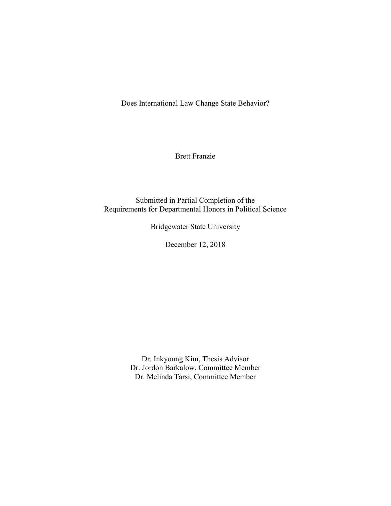Does International Law Change State Behavior?

Brett Franzie

Submitted in Partial Completion of the Requirements for Departmental Honors in Political Science

Bridgewater State University

December 12, 2018

Dr. Inkyoung Kim, Thesis Advisor Dr. Jordon Barkalow, Committee Member Dr. Melinda Tarsi, Committee Member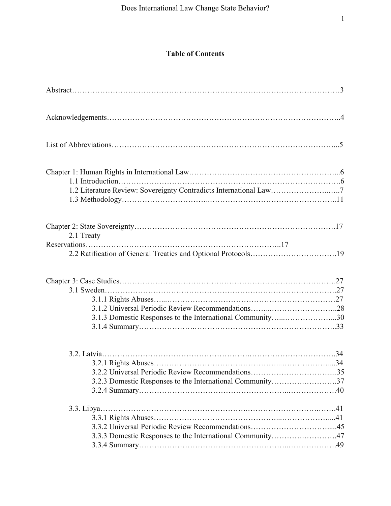# **Table of Contents**

| 1.2 Literature Review: Sovereignty Contradicts International Law7           |  |
|-----------------------------------------------------------------------------|--|
| 2.1 Treaty<br>2.2 Ratification of General Treaties and Optional Protocols19 |  |
| 3.1.3 Domestic Responses to the International Community30                   |  |
|                                                                             |  |
|                                                                             |  |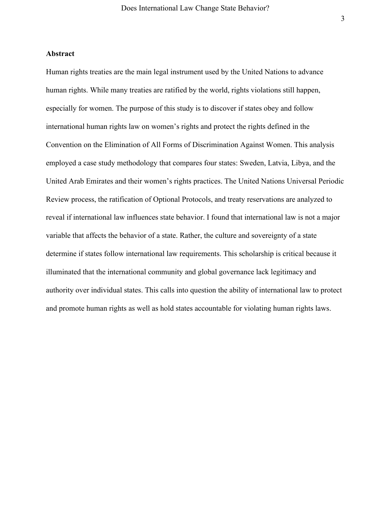#### **Abstract**

Human rights treaties are the main legal instrument used by the United Nations to advance human rights. While many treaties are ratified by the world, rights violations still happen, especially for women. The purpose of this study is to discover if states obey and follow international human rights law on women's rights and protect the rights defined in the Convention on the Elimination of All Forms of Discrimination Against Women. This analysis employed a case study methodology that compares four states: Sweden, Latvia, Libya, and the United Arab Emirates and their women's rights practices. The United Nations Universal Periodic Review process, the ratification of Optional Protocols, and treaty reservations are analyzed to reveal if international law influences state behavior. I found that international law is not a major variable that affects the behavior of a state. Rather, the culture and sovereignty of a state determine if states follow international law requirements. This scholarship is critical because it illuminated that the international community and global governance lack legitimacy and authority over individual states. This calls into question the ability of international law to protect and promote human rights as well as hold states accountable for violating human rights laws.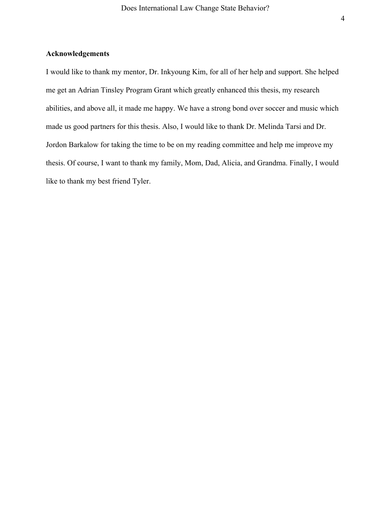# **Acknowledgements**

I would like to thank my mentor, Dr. Inkyoung Kim, for all of her help and support. She helped me get an Adrian Tinsley Program Grant which greatly enhanced this thesis, my research abilities, and above all, it made me happy. We have a strong bond over soccer and music which made us good partners for this thesis. Also, I would like to thank Dr. Melinda Tarsi and Dr. Jordon Barkalow for taking the time to be on my reading committee and help me improve my thesis. Of course, I want to thank my family, Mom, Dad, Alicia, and Grandma. Finally, I would like to thank my best friend Tyler.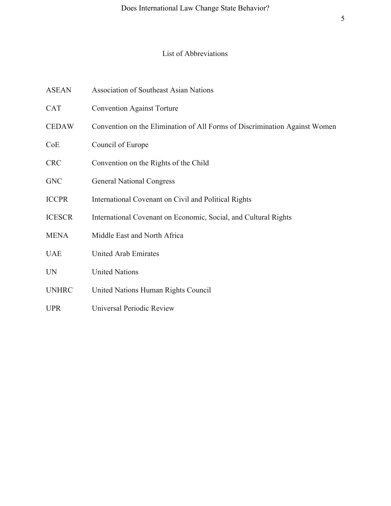# List of Abbreviations

- ASEAN Association of Southeast Asian Nations
- CAT Convention Against Torture
- CEDAW Convention on the Elimination of All Forms of Discrimination Against Women
- CoE Council of Europe
- CRC Convention on the Rights of the Child
- GNC **General National Congress**
- ICCPR International Covenant on Civil and Political Rights
- ICESCR International Covenant on Economic, Social, and Cultural Rights
- MENA Middle East and North Africa
- UAE United Arab Emirates
- UN United Nations
- UNHRC United Nations Human Rights Council
- UPR Universal Periodic Review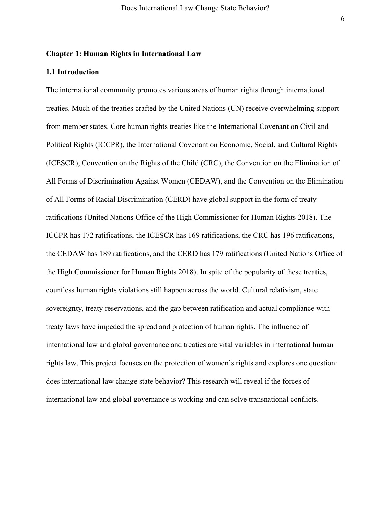#### **Chapter 1: Human Rights in International Law**

# **1.1 Introduction**

The international community promotes various areas of human rights through international treaties. Much of the treaties crafted by the United Nations (UN) receive overwhelming support from member states. Core human rights treaties like the International Covenant on Civil and Political Rights (ICCPR), the International Covenant on Economic, Social, and Cultural Rights (ICESCR), Convention on the Rights of the Child (CRC), the Convention on the Elimination of All Forms of Discrimination Against Women (CEDAW), and the Convention on the Elimination of All Forms of Racial Discrimination (CERD) have global support in the form of treaty ratifications (United Nations Office of the High Commissioner for Human Rights 2018). The ICCPR has 172 ratifications, the ICESCR has 169 ratifications, the CRC has 196 ratifications, the CEDAW has 189 ratifications, and the CERD has 179 ratifications (United Nations Office of the High Commissioner for Human Rights 2018). In spite of the popularity of these treaties, countless human rights violations still happen across the world. Cultural relativism, state sovereignty, treaty reservations, and the gap between ratification and actual compliance with treaty laws have impeded the spread and protection of human rights. The influence of international law and global governance and treaties are vital variables in international human rights law. This project focuses on the protection of women's rights and explores one question: does international law change state behavior? This research will reveal if the forces of international law and global governance is working and can solve transnational conflicts.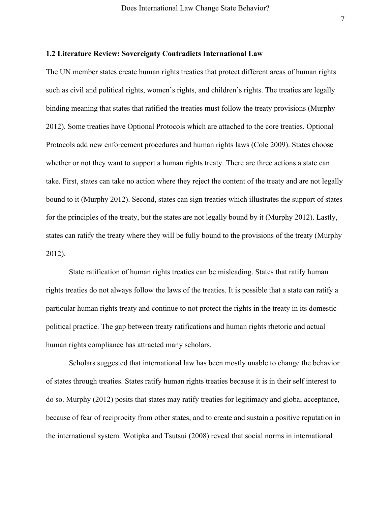# **1.2 Literature Review: Sovereignty Contradicts International Law**

The UN member states create human rights treaties that protect different areas of human rights such as civil and political rights, women's rights, and children's rights. The treaties are legally binding meaning that states that ratified the treaties must follow the treaty provisions (Murphy 2012). Some treaties have Optional Protocols which are attached to the core treaties. Optional Protocols add new enforcement procedures and human rights laws (Cole 2009). States choose whether or not they want to support a human rights treaty. There are three actions a state can take. First, states can take no action where they reject the content of the treaty and are not legally bound to it (Murphy 2012). Second, states can sign treaties which illustrates the support of states for the principles of the treaty, but the states are not legally bound by it (Murphy 2012). Lastly, states can ratify the treaty where they will be fully bound to the provisions of the treaty (Murphy 2012).

State ratification of human rights treaties can be misleading. States that ratify human rights treaties do not always follow the laws of the treaties. It is possible that a state can ratify a particular human rights treaty and continue to not protect the rights in the treaty in its domestic political practice. The gap between treaty ratifications and human rights rhetoric and actual human rights compliance has attracted many scholars.

Scholars suggested that international law has been mostly unable to change the behavior of states through treaties. States ratify human rights treaties because it is in their self interest to do so. Murphy (2012) posits that states may ratify treaties for legitimacy and global acceptance, because of fear of reciprocity from other states, and to create and sustain a positive reputation in the international system. Wotipka and Tsutsui (2008) reveal that social norms in international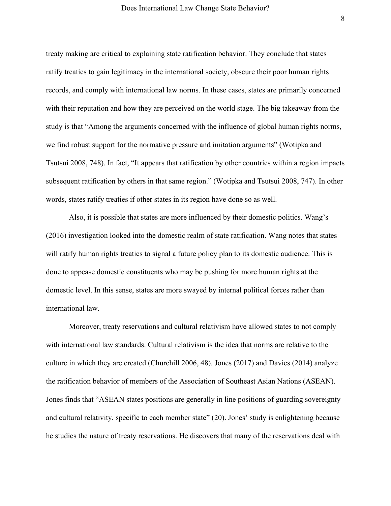treaty making are critical to explaining state ratification behavior. They conclude that states ratify treaties to gain legitimacy in the international society, obscure their poor human rights records, and comply with international law norms. In these cases, states are primarily concerned with their reputation and how they are perceived on the world stage. The big takeaway from the study is that "Among the arguments concerned with the influence of global human rights norms, we find robust support for the normative pressure and imitation arguments" (Wotipka and Tsutsui 2008, 748). In fact, "It appears that ratification by other countries within a region impacts subsequent ratification by others in that same region." (Wotipka and Tsutsui 2008, 747). In other words, states ratify treaties if other states in its region have done so as well.

Also, it is possible that states are more influenced by their domestic politics. Wang's (2016) investigation looked into the domestic realm of state ratification. Wang notes that states will ratify human rights treaties to signal a future policy plan to its domestic audience. This is done to appease domestic constituents who may be pushing for more human rights at the domestic level. In this sense, states are more swayed by internal political forces rather than international law.

Moreover, treaty reservations and cultural relativism have allowed states to not comply with international law standards. Cultural relativism is the idea that norms are relative to the culture in which they are created (Churchill 2006, 48). Jones (2017) and Davies (2014) analyze the ratification behavior of members of the Association of Southeast Asian Nations (ASEAN). Jones finds that "ASEAN states positions are generally in line positions of guarding sovereignty and cultural relativity, specific to each member state" (20). Jones' study is enlightening because he studies the nature of treaty reservations. He discovers that many of the reservations deal with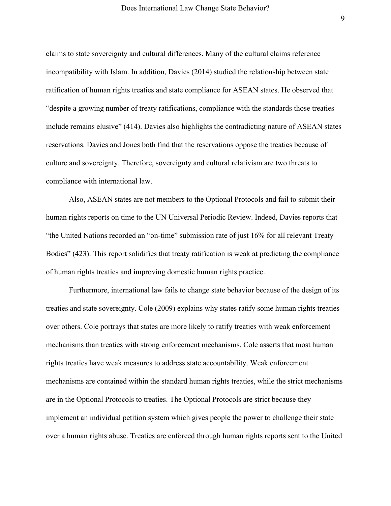claims to state sovereignty and cultural differences. Many of the cultural claims reference incompatibility with Islam. In addition, Davies (2014) studied the relationship between state ratification of human rights treaties and state compliance for ASEAN states. He observed that "despite a growing number of treaty ratifications, compliance with the standards those treaties include remains elusive" (414). Davies also highlights the contradicting nature of ASEAN states reservations. Davies and Jones both find that the reservations oppose the treaties because of culture and sovereignty. Therefore, sovereignty and cultural relativism are two threats to compliance with international law.

Also, ASEAN states are not members to the Optional Protocols and fail to submit their human rights reports on time to the UN Universal Periodic Review. Indeed, Davies reports that "the United Nations recorded an "on-time" submission rate of just 16% for all relevant Treaty Bodies" (423). This report solidifies that treaty ratification is weak at predicting the compliance of human rights treaties and improving domestic human rights practice.

Furthermore, international law fails to change state behavior because of the design of its treaties and state sovereignty. Cole (2009) explains why states ratify some human rights treaties over others. Cole portrays that states are more likely to ratify treaties with weak enforcement mechanisms than treaties with strong enforcement mechanisms. Cole asserts that most human rights treaties have weak measures to address state accountability. Weak enforcement mechanisms are contained within the standard human rights treaties, while the strict mechanisms are in the Optional Protocols to treaties. The Optional Protocols are strict because they implement an individual petition system which gives people the power to challenge their state over a human rights abuse. Treaties are enforced through human rights reports sent to the United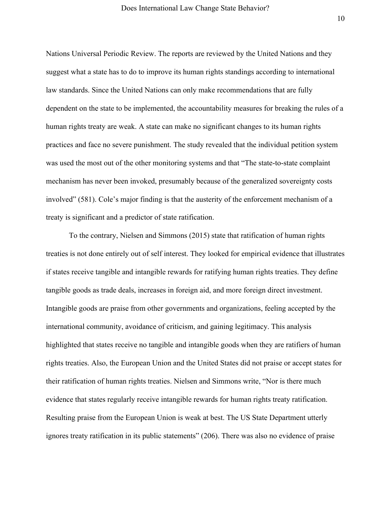Nations Universal Periodic Review. The reports are reviewed by the United Nations and they suggest what a state has to do to improve its human rights standings according to international law standards. Since the United Nations can only make recommendations that are fully dependent on the state to be implemented, the accountability measures for breaking the rules of a human rights treaty are weak. A state can make no significant changes to its human rights practices and face no severe punishment. The study revealed that the individual petition system was used the most out of the other monitoring systems and that "The state-to-state complaint mechanism has never been invoked, presumably because of the generalized sovereignty costs involved" (581). Cole's major finding is that the austerity of the enforcement mechanism of a treaty is significant and a predictor of state ratification.

To the contrary, Nielsen and Simmons (2015) state that ratification of human rights treaties is not done entirely out of self interest. They looked for empirical evidence that illustrates if states receive tangible and intangible rewards for ratifying human rights treaties. They define tangible goods as trade deals, increases in foreign aid, and more foreign direct investment. Intangible goods are praise from other governments and organizations, feeling accepted by the international community, avoidance of criticism, and gaining legitimacy. This analysis highlighted that states receive no tangible and intangible goods when they are ratifiers of human rights treaties. Also, the European Union and the United States did not praise or accept states for their ratification of human rights treaties. Nielsen and Simmons write, "Nor is there much evidence that states regularly receive intangible rewards for human rights treaty ratification. Resulting praise from the European Union is weak at best. The US State Department utterly ignores treaty ratification in its public statements" (206). There was also no evidence of praise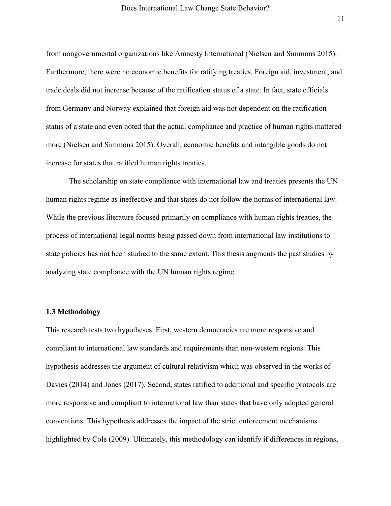from nongovernmental organizations like Amnesty International (Nielsen and Simmons 2015). Furthermore, there were no economic benefits for ratifying treaties. Foreign aid, investment, and trade deals did not increase because of the ratification status of a state. In fact, state officials from Germany and Norway explained that foreign aid was not dependent on the ratification status of a state and even noted that the actual compliance and practice of human rights mattered more (Nielsen and Simmons 2015). Overall, economic benefits and intangible goods do not increase for states that ratified human rights treaties.

The scholarship on state compliance with international law and treaties presents the UN human rights regime as ineffective and that states do not follow the norms of international law. While the previous literature focused primarily on compliance with human rights treaties, the process of international legal norms being passed down from international law institutions to state policies has not been studied to the same extent. This thesis augments the past studies by analyzing state compliance with the UN human rights regime.

#### **1.3 Methodology**

This research tests two hypotheses. First, western democracies are more responsive and compliant to international law standards and requirements than non-western regions. This hypothesis addresses the argument of cultural relativism which was observed in the works of Davies (2014) and Jones (2017). Second, states ratified to additional and specific protocols are more responsive and compliant to international law than states that have only adopted general conventions. This hypothesis addresses the impact of the strict enforcement mechanisms highlighted by Cole (2009). Ultimately, this methodology can identify if differences in regions,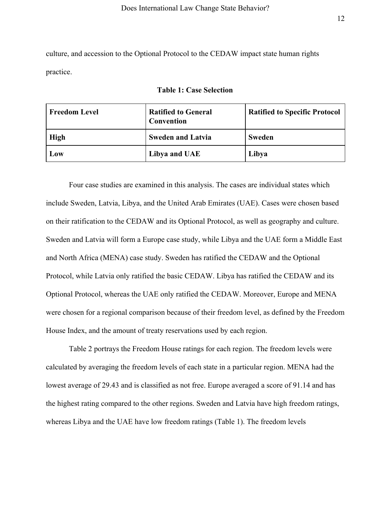culture, and accession to the Optional Protocol to the CEDAW impact state human rights practice.

|  |  |  |  |  | <b>Table 1: Case Selection</b> |
|--|--|--|--|--|--------------------------------|
|--|--|--|--|--|--------------------------------|

| <b>Freedom Level</b> | <b>Ratified to General</b><br>Convention | <b>Ratified to Specific Protocol</b> |
|----------------------|------------------------------------------|--------------------------------------|
| High                 | <b>Sweden and Latvia</b>                 | <b>Sweden</b>                        |
| Low                  | Libya and UAE                            | Libya                                |

Four case studies are examined in this analysis. The cases are individual states which include Sweden, Latvia, Libya, and the United Arab Emirates (UAE). Cases were chosen based on their ratification to the CEDAW and its Optional Protocol, as well as geography and culture. Sweden and Latvia will form a Europe case study, while Libya and the UAE form a Middle East and North Africa (MENA) case study. Sweden has ratified the CEDAW and the Optional Protocol, while Latvia only ratified the basic CEDAW. Libya has ratified the CEDAW and its Optional Protocol, whereas the UAE only ratified the CEDAW. Moreover, Europe and MENA were chosen for a regional comparison because of their freedom level, as defined by the Freedom House Index, and the amount of treaty reservations used by each region.

Table 2 portrays the Freedom House ratings for each region. The freedom levels were calculated by averaging the freedom levels of each state in a particular region. MENA had the lowest average of 29.43 and is classified as not free. Europe averaged a score of 91.14 and has the highest rating compared to the other regions. Sweden and Latvia have high freedom ratings, whereas Libya and the UAE have low freedom ratings (Table 1). The freedom levels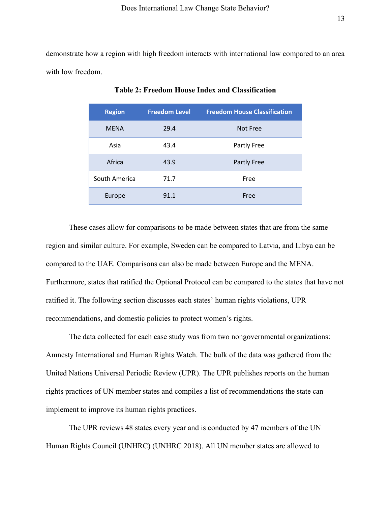demonstrate how a region with high freedom interacts with international law compared to an area with low freedom.

| <b>Region</b> | <b>Freedom Level</b> | <b>Freedom House Classification</b> |
|---------------|----------------------|-------------------------------------|
| <b>MFNA</b>   | 29.4                 | Not Free                            |
| Asia          | 43.4                 | Partly Free                         |
| Africa        | 43.9                 | Partly Free                         |
| South America | 71.7                 | Free                                |
| Europe        | 91.1                 | Free                                |

**Table 2: Freedom House Index and Classification**

These cases allow for comparisons to be made between states that are from the same region and similar culture. For example, Sweden can be compared to Latvia, and Libya can be compared to the UAE. Comparisons can also be made between Europe and the MENA. Furthermore, states that ratified the Optional Protocol can be compared to the states that have not ratified it. The following section discusses each states' human rights violations, UPR recommendations, and domestic policies to protect women's rights.

The data collected for each case study was from two nongovernmental organizations: Amnesty International and Human Rights Watch. The bulk of the data was gathered from the United Nations Universal Periodic Review (UPR). The UPR publishes reports on the human rights practices of UN member states and compiles a list of recommendations the state can implement to improve its human rights practices.

The UPR reviews 48 states every year and is conducted by 47 members of the UN Human Rights Council (UNHRC) (UNHRC 2018). All UN member states are allowed to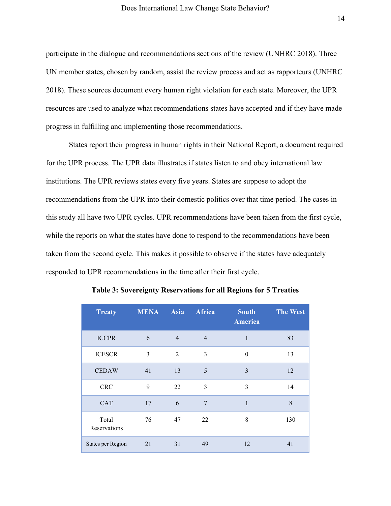participate in the dialogue and recommendations sections of the review (UNHRC 2018). Three UN member states, chosen by random, assist the review process and act as rapporteurs (UNHRC 2018). These sources document every human right violation for each state. Moreover, the UPR resources are used to analyze what recommendations states have accepted and if they have made progress in fulfilling and implementing those recommendations.

States report their progress in human rights in their National Report, a document required for the UPR process. The UPR data illustrates if states listen to and obey international law institutions. The UPR reviews states every five years. States are suppose to adopt the recommendations from the UPR into their domestic politics over that time period. The cases in this study all have two UPR cycles. UPR recommendations have been taken from the first cycle, while the reports on what the states have done to respond to the recommendations have been taken from the second cycle. This makes it possible to observe if the states have adequately responded to UPR recommendations in the time after their first cycle.

| <b>Treaty</b>            | <b>MENA</b> | Asia           | <b>Africa</b>  | <b>South</b><br><b>America</b> | <b>The West</b> |
|--------------------------|-------------|----------------|----------------|--------------------------------|-----------------|
| <b>ICCPR</b>             | 6           | $\overline{4}$ | $\overline{4}$ | $\mathbf{1}$                   | 83              |
| <b>ICESCR</b>            | 3           | 2              | 3              | $\theta$                       | 13              |
| <b>CEDAW</b>             | 41          | 13             | 5              | 3                              | 12              |
| <b>CRC</b>               | 9           | 22             | 3              | 3                              | 14              |
| <b>CAT</b>               | 17          | 6              | $\overline{7}$ | 1                              | 8               |
| Total<br>Reservations    | 76          | 47             | 22             | 8                              | 130             |
| <b>States per Region</b> | 21          | 31             | 49             | 12                             | 41              |

**Table 3: Sovereignty Reservations for all Regions for 5 Treaties**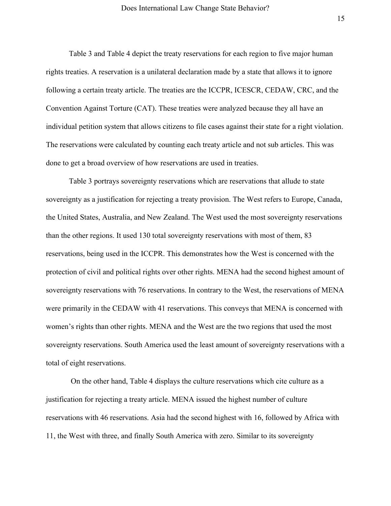Table 3 and Table 4 depict the treaty reservations for each region to five major human rights treaties. A reservation is a unilateral declaration made by a state that allows it to ignore following a certain treaty article. The treaties are the ICCPR, ICESCR, CEDAW, CRC, and the Convention Against Torture (CAT). These treaties were analyzed because they all have an individual petition system that allows citizens to file cases against their state for a right violation. The reservations were calculated by counting each treaty article and not sub articles. This was done to get a broad overview of how reservations are used in treaties.

Table 3 portrays sovereignty reservations which are reservations that allude to state sovereignty as a justification for rejecting a treaty provision. The West refers to Europe, Canada, the United States, Australia, and New Zealand. The West used the most sovereignty reservations than the other regions. It used 130 total sovereignty reservations with most of them, 83 reservations, being used in the ICCPR. This demonstrates how the West is concerned with the protection of civil and political rights over other rights. MENA had the second highest amount of sovereignty reservations with 76 reservations. In contrary to the West, the reservations of MENA were primarily in the CEDAW with 41 reservations. This conveys that MENA is concerned with women's rights than other rights. MENA and the West are the two regions that used the most sovereignty reservations. South America used the least amount of sovereignty reservations with a total of eight reservations.

 On the other hand, Table 4 displays the culture reservations which cite culture as a justification for rejecting a treaty article. MENA issued the highest number of culture reservations with 46 reservations. Asia had the second highest with 16, followed by Africa with 11, the West with three, and finally South America with zero. Similar to its sovereignty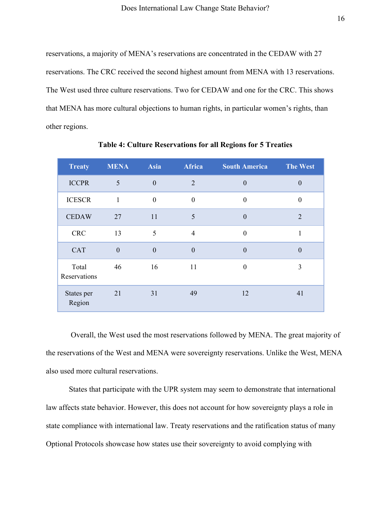reservations, a majority of MENA's reservations are concentrated in the CEDAW with 27 reservations. The CRC received the second highest amount from MENA with 13 reservations. The West used three culture reservations. Two for CEDAW and one for the CRC. This shows that MENA has more cultural objections to human rights, in particular women's rights, than other regions.

| <b>Treaty</b>         | <b>MENA</b> | <b>Asia</b>    | <b>Africa</b>    | <b>South America</b> | <b>The West</b>  |
|-----------------------|-------------|----------------|------------------|----------------------|------------------|
| <b>ICCPR</b>          | 5           | $\theta$       | 2                | $\theta$             | $\boldsymbol{0}$ |
| <b>ICESCR</b>         | 1           | $\theta$       | $\boldsymbol{0}$ | $\boldsymbol{0}$     | $\boldsymbol{0}$ |
| <b>CEDAW</b>          | 27          | 11             | 5                | $\mathbf{0}$         | $\overline{2}$   |
| <b>CRC</b>            | 13          | 5              | $\overline{4}$   | $\overline{0}$       | 1                |
| <b>CAT</b>            | $\theta$    | $\overline{0}$ | $\boldsymbol{0}$ | $\theta$             | $\boldsymbol{0}$ |
| Total<br>Reservations | 46          | 16             | 11               | $\boldsymbol{0}$     | 3                |
| States per<br>Region  | 21          | 31             | 49               | 12                   | 41               |

**Table 4: Culture Reservations for all Regions for 5 Treaties**

 Overall, the West used the most reservations followed by MENA. The great majority of the reservations of the West and MENA were sovereignty reservations. Unlike the West, MENA also used more cultural reservations.

States that participate with the UPR system may seem to demonstrate that international law affects state behavior. However, this does not account for how sovereignty plays a role in state compliance with international law. Treaty reservations and the ratification status of many Optional Protocols showcase how states use their sovereignty to avoid complying with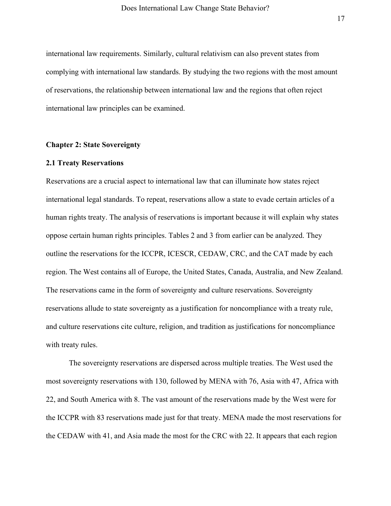international law requirements. Similarly, cultural relativism can also prevent states from complying with international law standards. By studying the two regions with the most amount of reservations, the relationship between international law and the regions that often reject international law principles can be examined.

## **Chapter 2: State Sovereignty**

#### **2.1 Treaty Reservations**

Reservations are a crucial aspect to international law that can illuminate how states reject international legal standards. To repeat, reservations allow a state to evade certain articles of a human rights treaty. The analysis of reservations is important because it will explain why states oppose certain human rights principles. Tables 2 and 3 from earlier can be analyzed. They outline the reservations for the ICCPR, ICESCR, CEDAW, CRC, and the CAT made by each region. The West contains all of Europe, the United States, Canada, Australia, and New Zealand. The reservations came in the form of sovereignty and culture reservations. Sovereignty reservations allude to state sovereignty as a justification for noncompliance with a treaty rule, and culture reservations cite culture, religion, and tradition as justifications for noncompliance with treaty rules.

The sovereignty reservations are dispersed across multiple treaties. The West used the most sovereignty reservations with 130, followed by MENA with 76, Asia with 47, Africa with 22, and South America with 8. The vast amount of the reservations made by the West were for the ICCPR with 83 reservations made just for that treaty. MENA made the most reservations for the CEDAW with 41, and Asia made the most for the CRC with 22. It appears that each region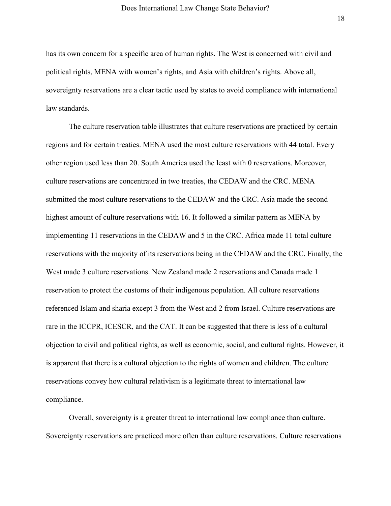has its own concern for a specific area of human rights. The West is concerned with civil and political rights, MENA with women's rights, and Asia with children's rights. Above all, sovereignty reservations are a clear tactic used by states to avoid compliance with international law standards.

The culture reservation table illustrates that culture reservations are practiced by certain regions and for certain treaties. MENA used the most culture reservations with 44 total. Every other region used less than 20. South America used the least with 0 reservations. Moreover, culture reservations are concentrated in two treaties, the CEDAW and the CRC. MENA submitted the most culture reservations to the CEDAW and the CRC. Asia made the second highest amount of culture reservations with 16. It followed a similar pattern as MENA by implementing 11 reservations in the CEDAW and 5 in the CRC. Africa made 11 total culture reservations with the majority of its reservations being in the CEDAW and the CRC. Finally, the West made 3 culture reservations. New Zealand made 2 reservations and Canada made 1 reservation to protect the customs of their indigenous population. All culture reservations referenced Islam and sharia except 3 from the West and 2 from Israel. Culture reservations are rare in the ICCPR, ICESCR, and the CAT. It can be suggested that there is less of a cultural objection to civil and political rights, as well as economic, social, and cultural rights. However, it is apparent that there is a cultural objection to the rights of women and children. The culture reservations convey how cultural relativism is a legitimate threat to international law compliance.

Overall, sovereignty is a greater threat to international law compliance than culture. Sovereignty reservations are practiced more often than culture reservations. Culture reservations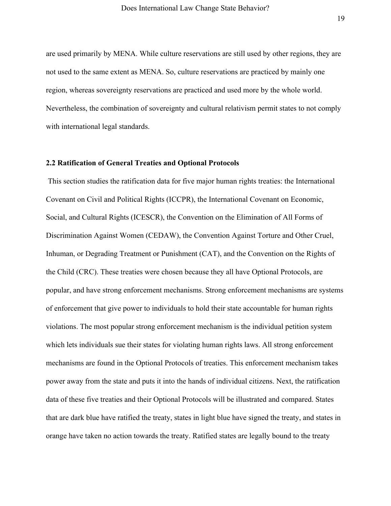are used primarily by MENA. While culture reservations are still used by other regions, they are not used to the same extent as MENA. So, culture reservations are practiced by mainly one region, whereas sovereignty reservations are practiced and used more by the whole world. Nevertheless, the combination of sovereignty and cultural relativism permit states to not comply with international legal standards.

#### **2.2 Ratification of General Treaties and Optional Protocols**

 This section studies the ratification data for five major human rights treaties: the International Covenant on Civil and Political Rights (ICCPR), the International Covenant on Economic, Social, and Cultural Rights (ICESCR), the Convention on the Elimination of All Forms of Discrimination Against Women (CEDAW), the Convention Against Torture and Other Cruel, Inhuman, or Degrading Treatment or Punishment (CAT), and the Convention on the Rights of the Child (CRC). These treaties were chosen because they all have Optional Protocols, are popular, and have strong enforcement mechanisms. Strong enforcement mechanisms are systems of enforcement that give power to individuals to hold their state accountable for human rights violations. The most popular strong enforcement mechanism is the individual petition system which lets individuals sue their states for violating human rights laws. All strong enforcement mechanisms are found in the Optional Protocols of treaties. This enforcement mechanism takes power away from the state and puts it into the hands of individual citizens. Next, the ratification data of these five treaties and their Optional Protocols will be illustrated and compared. States that are dark blue have ratified the treaty, states in light blue have signed the treaty, and states in orange have taken no action towards the treaty. Ratified states are legally bound to the treaty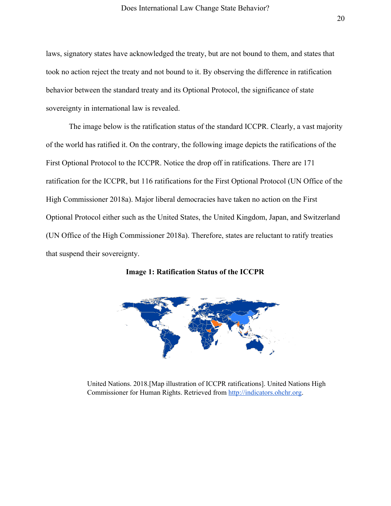laws, signatory states have acknowledged the treaty, but are not bound to them, and states that took no action reject the treaty and not bound to it. By observing the difference in ratification behavior between the standard treaty and its Optional Protocol, the significance of state sovereignty in international law is revealed.

The image below is the ratification status of the standard ICCPR. Clearly, a vast majority of the world has ratified it. On the contrary, the following image depicts the ratifications of the First Optional Protocol to the ICCPR. Notice the drop off in ratifications. There are 171 ratification for the ICCPR, but 116 ratifications for the First Optional Protocol (UN Office of the High Commissioner 2018a). Major liberal democracies have taken no action on the First Optional Protocol either such as the United States, the United Kingdom, Japan, and Switzerland (UN Office of the High Commissioner 2018a). Therefore, states are reluctant to ratify treaties that suspend their sovereignty.

**Image 1: Ratification Status of the ICCPR**



United Nations. 2018.[Map illustration of ICCPR ratifications]. United Nations High Commissioner for Human Rights. Retrieved from [http://indicators.ohchr.org](http://indicators.ohchr.org/).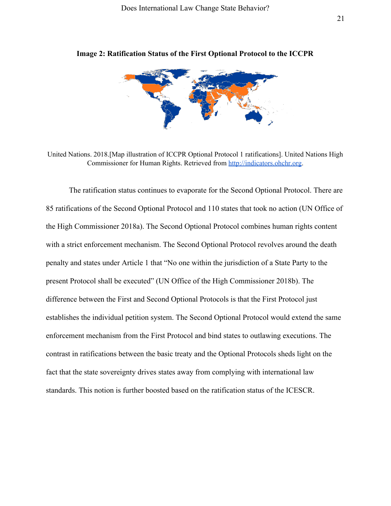

**Image 2: Ratification Status of the First Optional Protocol to the ICCPR**

United Nations. 2018.[Map illustration of ICCPR Optional Protocol 1 ratifications]. United Nations High Commissioner for Human Rights. Retrieved from [http://indicators.ohchr.org](http://indicators.ohchr.org/).

The ratification status continues to evaporate for the Second Optional Protocol. There are 85 ratifications of the Second Optional Protocol and 110 states that took no action (UN Office of the High Commissioner 2018a). The Second Optional Protocol combines human rights content with a strict enforcement mechanism. The Second Optional Protocol revolves around the death penalty and states under Article 1 that "No one within the jurisdiction of a State Party to the present Protocol shall be executed" (UN Office of the High Commissioner 2018b). The difference between the First and Second Optional Protocols is that the First Protocol just establishes the individual petition system. The Second Optional Protocol would extend the same enforcement mechanism from the First Protocol and bind states to outlawing executions. The contrast in ratifications between the basic treaty and the Optional Protocols sheds light on the fact that the state sovereignty drives states away from complying with international law standards. This notion is further boosted based on the ratification status of the ICESCR.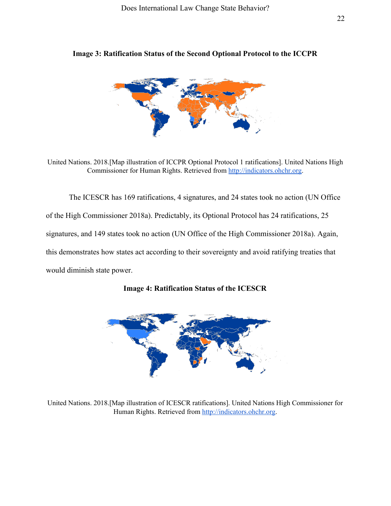

**Image 3: Ratification Status of the Second Optional Protocol to the ICCPR**

United Nations. 2018.[Map illustration of ICCPR Optional Protocol 1 ratifications]. United Nations High Commissioner for Human Rights. Retrieved from [http://indicators.ohchr.org](http://indicators.ohchr.org/).

The ICESCR has 169 ratifications, 4 signatures, and 24 states took no action (UN Office of the High Commissioner 2018a). Predictably, its Optional Protocol has 24 ratifications, 25 signatures, and 149 states took no action (UN Office of the High Commissioner 2018a). Again, this demonstrates how states act according to their sovereignty and avoid ratifying treaties that would diminish state power.





United Nations. 2018.[Map illustration of ICESCR ratifications]. United Nations High Commissioner for Human Rights. Retrieved from [http://indicators.ohchr.org](http://indicators.ohchr.org/).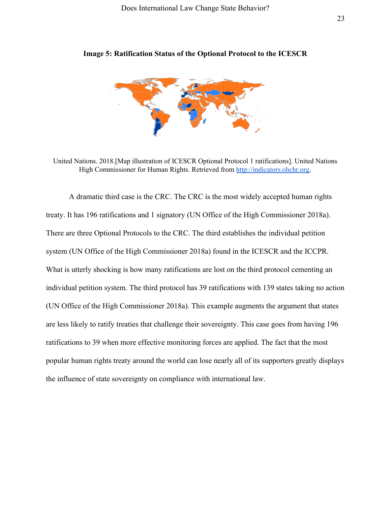

**Image 5: Ratification Status of the Optional Protocol to the ICESCR**

United Nations. 2018.[Map illustration of ICESCR Optional Protocol 1 ratifications]. United Nations High Commissioner for Human Rights. Retrieved from [http://indicators.ohchr.org](http://indicators.ohchr.org/).

A dramatic third case is the CRC. The CRC is the most widely accepted human rights treaty. It has 196 ratifications and 1 signatory (UN Office of the High Commissioner 2018a). There are three Optional Protocols to the CRC. The third establishes the individual petition system (UN Office of the High Commissioner 2018a) found in the ICESCR and the ICCPR. What is utterly shocking is how many ratifications are lost on the third protocol cementing an individual petition system. The third protocol has 39 ratifications with 139 states taking no action (UN Office of the High Commissioner 2018a). This example augments the argument that states are less likely to ratify treaties that challenge their sovereignty. This case goes from having 196 ratifications to 39 when more effective monitoring forces are applied. The fact that the most popular human rights treaty around the world can lose nearly all of its supporters greatly displays the influence of state sovereignty on compliance with international law.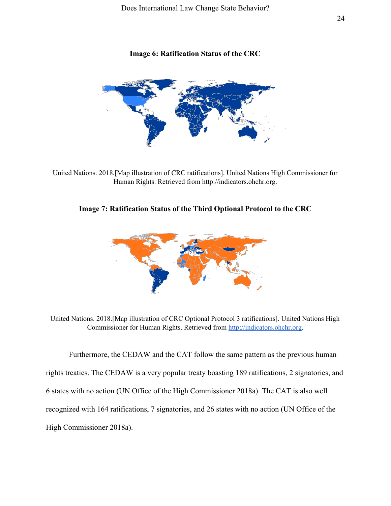# **Image 6: Ratification Status of the CRC**



United Nations. 2018.[Map illustration of CRC ratifications]. United Nations High Commissioner for Human Rights. Retrieved from http://indicators.ohchr.org.

# **Image 7: Ratification Status of the Third Optional Protocol to the CRC**



United Nations. 2018.[Map illustration of CRC Optional Protocol 3 ratifications]. United Nations High Commissioner for Human Rights. Retrieved from [http://indicators.ohchr.org](http://indicators.ohchr.org/).

Furthermore, the CEDAW and the CAT follow the same pattern as the previous human rights treaties. The CEDAW is a very popular treaty boasting 189 ratifications, 2 signatories, and 6 states with no action (UN Office of the High Commissioner 2018a). The CAT is also well recognized with 164 ratifications, 7 signatories, and 26 states with no action (UN Office of the High Commissioner 2018a).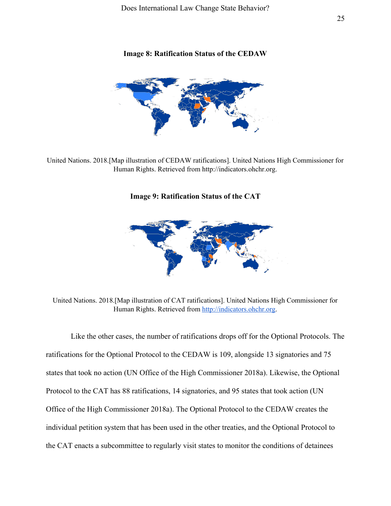# **Image 8: Ratification Status of the CEDAW**



United Nations. 2018.[Map illustration of CEDAW ratifications]. United Nations High Commissioner for Human Rights. Retrieved from http://indicators.ohchr.org.

## **Image 9: Ratification Status of the CAT**



United Nations. 2018.[Map illustration of CAT ratifications]. United Nations High Commissioner for Human Rights. Retrieved from [http://indicators.ohchr.org](http://indicators.ohchr.org/).

 Like the other cases, the number of ratifications drops off for the Optional Protocols. The ratifications for the Optional Protocol to the CEDAW is 109, alongside 13 signatories and 75 states that took no action (UN Office of the High Commissioner 2018a). Likewise, the Optional Protocol to the CAT has 88 ratifications, 14 signatories, and 95 states that took action (UN Office of the High Commissioner 2018a). The Optional Protocol to the CEDAW creates the individual petition system that has been used in the other treaties, and the Optional Protocol to the CAT enacts a subcommittee to regularly visit states to monitor the conditions of detainees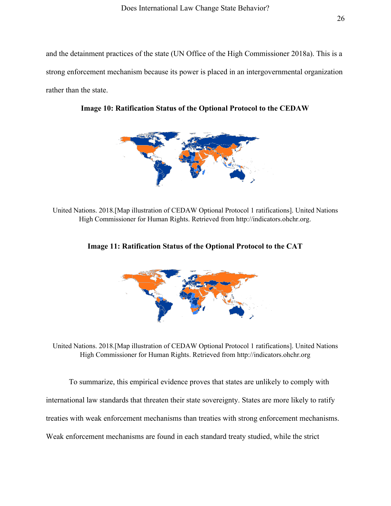and the detainment practices of the state (UN Office of the High Commissioner 2018a). This is a strong enforcement mechanism because its power is placed in an intergovernmental organization rather than the state.



**Image 10: Ratification Status of the Optional Protocol to the CEDAW**

United Nations. 2018.[Map illustration of CEDAW Optional Protocol 1 ratifications]. United Nations High Commissioner for Human Rights. Retrieved from http://indicators.ohchr.org.



**Image 11: Ratification Status of the Optional Protocol to the CAT**

United Nations. 2018.[Map illustration of CEDAW Optional Protocol 1 ratifications]. United Nations High Commissioner for Human Rights. Retrieved from http://indicators.ohchr.org

To summarize, this empirical evidence proves that states are unlikely to comply with international law standards that threaten their state sovereignty. States are more likely to ratify treaties with weak enforcement mechanisms than treaties with strong enforcement mechanisms. Weak enforcement mechanisms are found in each standard treaty studied, while the strict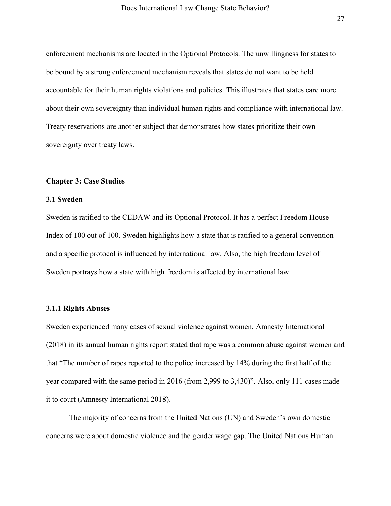enforcement mechanisms are located in the Optional Protocols. The unwillingness for states to be bound by a strong enforcement mechanism reveals that states do not want to be held accountable for their human rights violations and policies. This illustrates that states care more about their own sovereignty than individual human rights and compliance with international law. Treaty reservations are another subject that demonstrates how states prioritize their own sovereignty over treaty laws.

#### **Chapter 3: Case Studies**

#### **3.1 Sweden**

Sweden is ratified to the CEDAW and its Optional Protocol. It has a perfect Freedom House Index of 100 out of 100. Sweden highlights how a state that is ratified to a general convention and a specific protocol is influenced by international law. Also, the high freedom level of Sweden portrays how a state with high freedom is affected by international law.

#### **3.1.1 Rights Abuses**

Sweden experienced many cases of sexual violence against women. Amnesty International (2018) in its annual human rights report stated that rape was a common abuse against women and that "The number of rapes reported to the police increased by 14% during the first half of the year compared with the same period in 2016 (from 2,999 to 3,430)". Also, only 111 cases made it to court (Amnesty International 2018).

The majority of concerns from the United Nations (UN) and Sweden's own domestic concerns were about domestic violence and the gender wage gap. The United Nations Human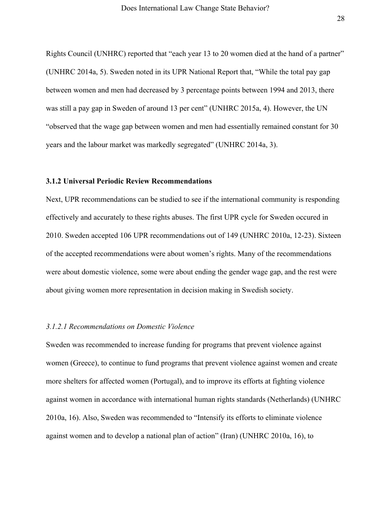Rights Council (UNHRC) reported that "each year 13 to 20 women died at the hand of a partner" (UNHRC 2014a, 5). Sweden noted in its UPR National Report that, "While the total pay gap between women and men had decreased by 3 percentage points between 1994 and 2013, there was still a pay gap in Sweden of around 13 per cent" (UNHRC 2015a, 4). However, the UN "observed that the wage gap between women and men had essentially remained constant for 30 years and the labour market was markedly segregated" (UNHRC 2014a, 3).

#### **3.1.2 Universal Periodic Review Recommendations**

Next, UPR recommendations can be studied to see if the international community is responding effectively and accurately to these rights abuses. The first UPR cycle for Sweden occured in 2010. Sweden accepted 106 UPR recommendations out of 149 (UNHRC 2010a, 12-23). Sixteen of the accepted recommendations were about women's rights. Many of the recommendations were about domestic violence, some were about ending the gender wage gap, and the rest were about giving women more representation in decision making in Swedish society.

# *3.1.2.1 Recommendations on Domestic Violence*

Sweden was recommended to increase funding for programs that prevent violence against women (Greece), to continue to fund programs that prevent violence against women and create more shelters for affected women (Portugal), and to improve its efforts at fighting violence against women in accordance with international human rights standards (Netherlands) (UNHRC 2010a, 16). Also, Sweden was recommended to "Intensify its efforts to eliminate violence against women and to develop a national plan of action" (Iran) (UNHRC 2010a, 16), to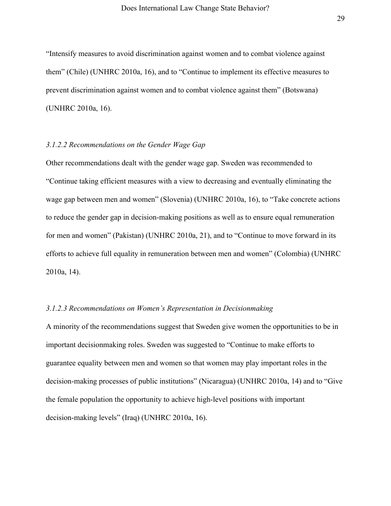"Intensify measures to avoid discrimination against women and to combat violence against them" (Chile) (UNHRC 2010a, 16), and to "Continue to implement its effective measures to prevent discrimination against women and to combat violence against them" (Botswana) (UNHRC 2010a, 16).

## *3.1.2.2 Recommendations on the Gender Wage Gap*

Other recommendations dealt with the gender wage gap. Sweden was recommended to "Continue taking efficient measures with a view to decreasing and eventually eliminating the wage gap between men and women" (Slovenia) (UNHRC 2010a, 16), to "Take concrete actions to reduce the gender gap in decision-making positions as well as to ensure equal remuneration for men and women" (Pakistan) (UNHRC 2010a, 21), and to "Continue to move forward in its efforts to achieve full equality in remuneration between men and women" (Colombia) (UNHRC 2010a, 14).

#### *3.1.2.3 Recommendations on Women's Representation in Decisionmaking*

A minority of the recommendations suggest that Sweden give women the opportunities to be in important decisionmaking roles. Sweden was suggested to "Continue to make efforts to guarantee equality between men and women so that women may play important roles in the decision-making processes of public institutions" (Nicaragua) (UNHRC 2010a, 14) and to "Give the female population the opportunity to achieve high-level positions with important decision-making levels" (Iraq) (UNHRC 2010a, 16).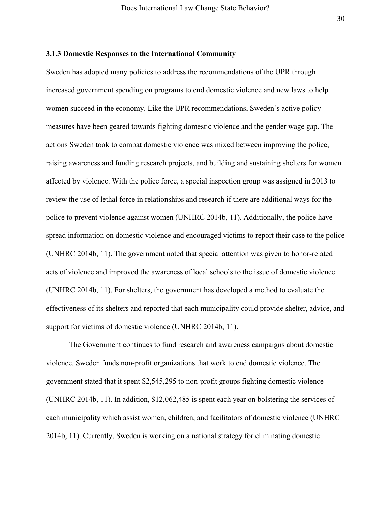# **3.1.3 Domestic Responses to the International Community**

Sweden has adopted many policies to address the recommendations of the UPR through increased government spending on programs to end domestic violence and new laws to help women succeed in the economy. Like the UPR recommendations, Sweden's active policy measures have been geared towards fighting domestic violence and the gender wage gap. The actions Sweden took to combat domestic violence was mixed between improving the police, raising awareness and funding research projects, and building and sustaining shelters for women affected by violence. With the police force, a special inspection group was assigned in 2013 to review the use of lethal force in relationships and research if there are additional ways for the police to prevent violence against women (UNHRC 2014b, 11). Additionally, the police have spread information on domestic violence and encouraged victims to report their case to the police (UNHRC 2014b, 11). The government noted that special attention was given to honor-related acts of violence and improved the awareness of local schools to the issue of domestic violence (UNHRC 2014b, 11). For shelters, the government has developed a method to evaluate the effectiveness of its shelters and reported that each municipality could provide shelter, advice, and support for victims of domestic violence (UNHRC 2014b, 11).

The Government continues to fund research and awareness campaigns about domestic violence. Sweden funds non-profit organizations that work to end domestic violence. The government stated that it spent \$2,545,295 to non-profit groups fighting domestic violence (UNHRC 2014b, 11). In addition, \$12,062,485 is spent each year on bolstering the services of each municipality which assist women, children, and facilitators of domestic violence (UNHRC 2014b, 11). Currently, Sweden is working on a national strategy for eliminating domestic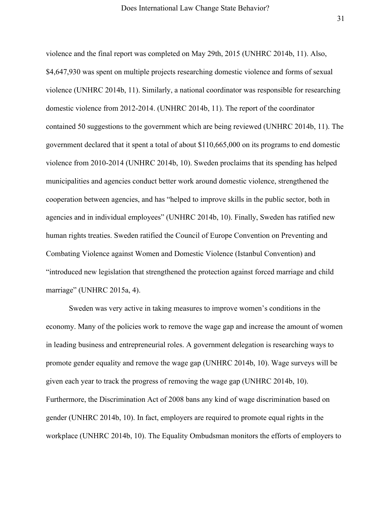violence and the final report was completed on May 29th, 2015 (UNHRC 2014b, 11). Also, \$4,647,930 was spent on multiple projects researching domestic violence and forms of sexual violence (UNHRC 2014b, 11). Similarly, a national coordinator was responsible for researching domestic violence from 2012-2014. (UNHRC 2014b, 11). The report of the coordinator contained 50 suggestions to the government which are being reviewed (UNHRC 2014b, 11). The government declared that it spent a total of about \$110,665,000 on its programs to end domestic violence from 2010-2014 (UNHRC 2014b, 10). Sweden proclaims that its spending has helped municipalities and agencies conduct better work around domestic violence, strengthened the cooperation between agencies, and has "helped to improve skills in the public sector, both in agencies and in individual employees" (UNHRC 2014b, 10). Finally, Sweden has ratified new human rights treaties. Sweden ratified the Council of Europe Convention on Preventing and Combating Violence against Women and Domestic Violence (Istanbul Convention) and "introduced new legislation that strengthened the protection against forced marriage and child marriage" (UNHRC 2015a, 4).

Sweden was very active in taking measures to improve women's conditions in the economy. Many of the policies work to remove the wage gap and increase the amount of women in leading business and entrepreneurial roles. A government delegation is researching ways to promote gender equality and remove the wage gap (UNHRC 2014b, 10). Wage surveys will be given each year to track the progress of removing the wage gap (UNHRC 2014b, 10). Furthermore, the Discrimination Act of 2008 bans any kind of wage discrimination based on gender (UNHRC 2014b, 10). In fact, employers are required to promote equal rights in the workplace (UNHRC 2014b, 10). The Equality Ombudsman monitors the efforts of employers to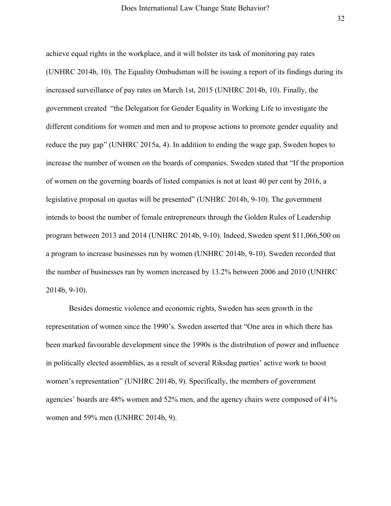achieve equal rights in the workplace, and it will bolster its task of monitoring pay rates (UNHRC 2014b, 10). The Equality Ombudsman will be issuing a report of its findings during its increased surveillance of pay rates on March 1st, 2015 (UNHRC 2014b, 10). Finally, the government created "the Delegation for Gender Equality in Working Life to investigate the different conditions for women and men and to propose actions to promote gender equality and reduce the pay gap" (UNHRC 2015a, 4). In addition to ending the wage gap, Sweden hopes to increase the number of women on the boards of companies. Sweden stated that "If the proportion of women on the governing boards of listed companies is not at least 40 per cent by 2016, a legislative proposal on quotas will be presented" (UNHRC 2014b, 9-10). The government intends to boost the number of female entrepreneurs through the Golden Rules of Leadership program between 2013 and 2014 (UNHRC 2014b, 9-10). Indeed, Sweden spent \$11,066,500 on a program to increase businesses run by women (UNHRC 2014b, 9-10). Sweden recorded that the number of businesses ran by women increased by 13.2% between 2006 and 2010 (UNHRC 2014b, 9-10).

Besides domestic violence and economic rights, Sweden has seen growth in the representation of women since the 1990's. Sweden asserted that "One area in which there has been marked favourable development since the 1990s is the distribution of power and influence in politically elected assemblies, as a result of several Riksdag parties' active work to boost women's representation" (UNHRC 2014b, 9). Specifically, the members of government agencies' boards are 48% women and 52% men, and the agency chairs were composed of 41% women and 59% men (UNHRC 2014b, 9).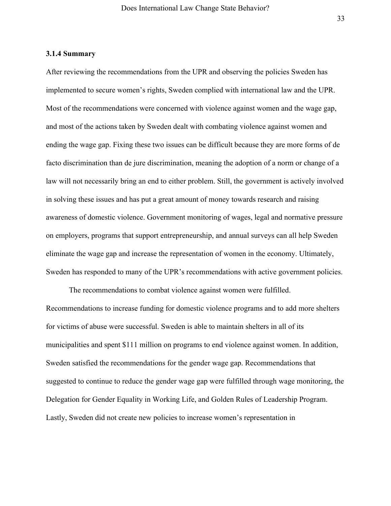#### **3.1.4 Summary**

After reviewing the recommendations from the UPR and observing the policies Sweden has implemented to secure women's rights, Sweden complied with international law and the UPR. Most of the recommendations were concerned with violence against women and the wage gap, and most of the actions taken by Sweden dealt with combating violence against women and ending the wage gap. Fixing these two issues can be difficult because they are more forms of de facto discrimination than de jure discrimination, meaning the adoption of a norm or change of a law will not necessarily bring an end to either problem. Still, the government is actively involved in solving these issues and has put a great amount of money towards research and raising awareness of domestic violence. Government monitoring of wages, legal and normative pressure on employers, programs that support entrepreneurship, and annual surveys can all help Sweden eliminate the wage gap and increase the representation of women in the economy. Ultimately, Sweden has responded to many of the UPR's recommendations with active government policies.

The recommendations to combat violence against women were fulfilled. Recommendations to increase funding for domestic violence programs and to add more shelters for victims of abuse were successful. Sweden is able to maintain shelters in all of its municipalities and spent \$111 million on programs to end violence against women. In addition, Sweden satisfied the recommendations for the gender wage gap. Recommendations that suggested to continue to reduce the gender wage gap were fulfilled through wage monitoring, the Delegation for Gender Equality in Working Life, and Golden Rules of Leadership Program. Lastly, Sweden did not create new policies to increase women's representation in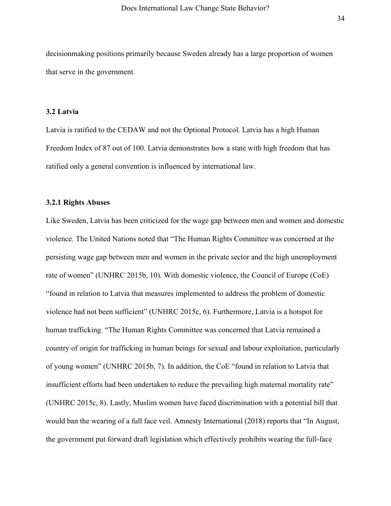decisionmaking positions primarily because Sweden already has a large proportion of women that serve in the government.

## **3.2 Latvia**

Latvia is ratified to the CEDAW and not the Optional Protocol. Latvia has a high Human Freedom Index of 87 out of 100. Latvia demonstrates how a state with high freedom that has ratified only a general convention is influenced by international law.

## **3.2.1 Rights Abuses**

Like Sweden, Latvia has been criticized for the wage gap between men and women and domestic violence. The United Nations noted that "The Human Rights Committee was concerned at the persisting wage gap between men and women in the private sector and the high unemployment rate of women" (UNHRC 2015b, 10). With domestic violence, the Council of Europe (CoE) "found in relation to Latvia that measures implemented to address the problem of domestic violence had not been sufficient" (UNHRC 2015c, 6). Furthermore, Latvia is a hotspot for human trafficking. "The Human Rights Committee was concerned that Latvia remained a country of origin for trafficking in human beings for sexual and labour exploitation, particularly of young women" (UNHRC 2015b, 7). In addition, the CoE "found in relation to Latvia that insufficient efforts had been undertaken to reduce the prevailing high maternal mortality rate" (UNHRC 2015c, 8). Lastly, Muslim women have faced discrimination with a potential bill that would ban the wearing of a full face veil. Amnesty International (2018) reports that "In August, the government put forward draft legislation which effectively prohibits wearing the full-face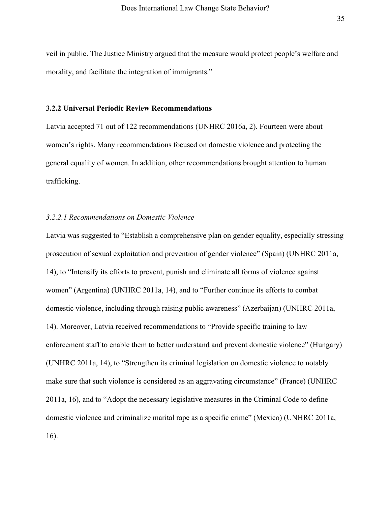veil in public. The Justice Ministry argued that the measure would protect people's welfare and morality, and facilitate the integration of immigrants."

#### **3.2.2 Universal Periodic Review Recommendations**

Latvia accepted 71 out of 122 recommendations (UNHRC 2016a, 2). Fourteen were about women's rights. Many recommendations focused on domestic violence and protecting the general equality of women. In addition, other recommendations brought attention to human trafficking.

# *3.2.2.1 Recommendations on Domestic Violence*

Latvia was suggested to "Establish a comprehensive plan on gender equality, especially stressing prosecution of sexual exploitation and prevention of gender violence" (Spain) (UNHRC 2011a, 14), to "Intensify its efforts to prevent, punish and eliminate all forms of violence against women" (Argentina) (UNHRC 2011a, 14), and to "Further continue its efforts to combat domestic violence, including through raising public awareness" (Azerbaijan) (UNHRC 2011a, 14). Moreover, Latvia received recommendations to "Provide specific training to law enforcement staff to enable them to better understand and prevent domestic violence" (Hungary) (UNHRC 2011a, 14), to "Strengthen its criminal legislation on domestic violence to notably make sure that such violence is considered as an aggravating circumstance" (France) (UNHRC 2011a, 16), and to "Adopt the necessary legislative measures in the Criminal Code to define domestic violence and criminalize marital rape as a specific crime" (Mexico) (UNHRC 2011a, 16).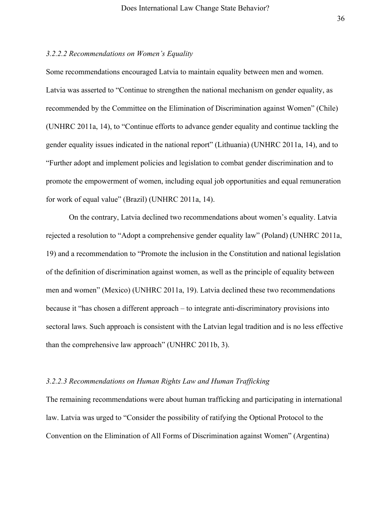#### *3.2.2.2 Recommendations on Women's Equality*

Some recommendations encouraged Latvia to maintain equality between men and women. Latvia was asserted to "Continue to strengthen the national mechanism on gender equality, as recommended by the Committee on the Elimination of Discrimination against Women" (Chile) (UNHRC 2011a, 14), to "Continue efforts to advance gender equality and continue tackling the gender equality issues indicated in the national report" (Lithuania) (UNHRC 2011a, 14), and to "Further adopt and implement policies and legislation to combat gender discrimination and to promote the empowerment of women, including equal job opportunities and equal remuneration for work of equal value" (Brazil) (UNHRC 2011a, 14).

On the contrary, Latvia declined two recommendations about women's equality. Latvia rejected a resolution to "Adopt a comprehensive gender equality law" (Poland) (UNHRC 2011a, 19) and a recommendation to "Promote the inclusion in the Constitution and national legislation of the definition of discrimination against women, as well as the principle of equality between men and women" (Mexico) (UNHRC 2011a, 19). Latvia declined these two recommendations because it "has chosen a different approach – to integrate anti-discriminatory provisions into sectoral laws. Such approach is consistent with the Latvian legal tradition and is no less effective than the comprehensive law approach" (UNHRC 2011b, 3).

# *3.2.2.3 Recommendations on Human Rights Law and Human Trafficking*

The remaining recommendations were about human trafficking and participating in international law. Latvia was urged to "Consider the possibility of ratifying the Optional Protocol to the Convention on the Elimination of All Forms of Discrimination against Women" (Argentina)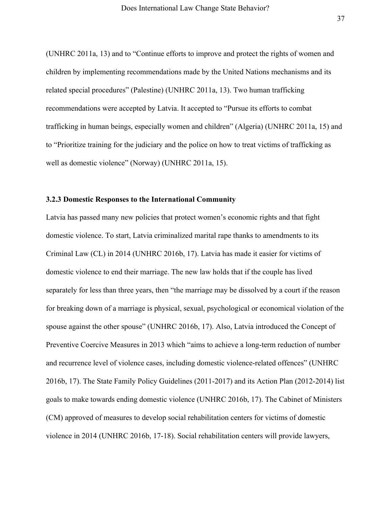(UNHRC 2011a, 13) and to "Continue efforts to improve and protect the rights of women and children by implementing recommendations made by the United Nations mechanisms and its related special procedures" (Palestine) (UNHRC 2011a, 13). Two human trafficking recommendations were accepted by Latvia. It accepted to "Pursue its efforts to combat trafficking in human beings, especially women and children" (Algeria) (UNHRC 2011a, 15) and to "Prioritize training for the judiciary and the police on how to treat victims of trafficking as well as domestic violence" (Norway) (UNHRC 2011a, 15).

#### **3.2.3 Domestic Responses to the International Community**

Latvia has passed many new policies that protect women's economic rights and that fight domestic violence. To start, Latvia criminalized marital rape thanks to amendments to its Criminal Law (CL) in 2014 (UNHRC 2016b, 17). Latvia has made it easier for victims of domestic violence to end their marriage. The new law holds that if the couple has lived separately for less than three years, then "the marriage may be dissolved by a court if the reason for breaking down of a marriage is physical, sexual, psychological or economical violation of the spouse against the other spouse" (UNHRC 2016b, 17). Also, Latvia introduced the Concept of Preventive Coercive Measures in 2013 which "aims to achieve a long-term reduction of number and recurrence level of violence cases, including domestic violence-related offences" (UNHRC 2016b, 17). The State Family Policy Guidelines (2011-2017) and its Action Plan (2012-2014) list goals to make towards ending domestic violence (UNHRC 2016b, 17). The Cabinet of Ministers (CM) approved of measures to develop social rehabilitation centers for victims of domestic violence in 2014 (UNHRC 2016b, 17-18). Social rehabilitation centers will provide lawyers,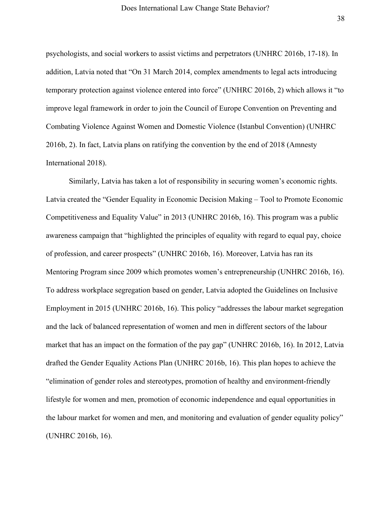psychologists, and social workers to assist victims and perpetrators (UNHRC 2016b, 17-18). In addition, Latvia noted that "On 31 March 2014, complex amendments to legal acts introducing temporary protection against violence entered into force" (UNHRC 2016b, 2) which allows it "to improve legal framework in order to join the Council of Europe Convention on Preventing and Combating Violence Against Women and Domestic Violence (Istanbul Convention) (UNHRC 2016b, 2). In fact, Latvia plans on ratifying the convention by the end of 2018 (Amnesty International 2018).

Similarly, Latvia has taken a lot of responsibility in securing women's economic rights. Latvia created the "Gender Equality in Economic Decision Making – Tool to Promote Economic Competitiveness and Equality Value" in 2013 (UNHRC 2016b, 16). This program was a public awareness campaign that "highlighted the principles of equality with regard to equal pay, choice of profession, and career prospects" (UNHRC 2016b, 16). Moreover, Latvia has ran its Mentoring Program since 2009 which promotes women's entrepreneurship (UNHRC 2016b, 16). To address workplace segregation based on gender, Latvia adopted the Guidelines on Inclusive Employment in 2015 (UNHRC 2016b, 16). This policy "addresses the labour market segregation and the lack of balanced representation of women and men in different sectors of the labour market that has an impact on the formation of the pay gap" (UNHRC 2016b, 16). In 2012, Latvia drafted the Gender Equality Actions Plan (UNHRC 2016b, 16). This plan hopes to achieve the "elimination of gender roles and stereotypes, promotion of healthy and environment-friendly lifestyle for women and men, promotion of economic independence and equal opportunities in the labour market for women and men, and monitoring and evaluation of gender equality policy" (UNHRC 2016b, 16).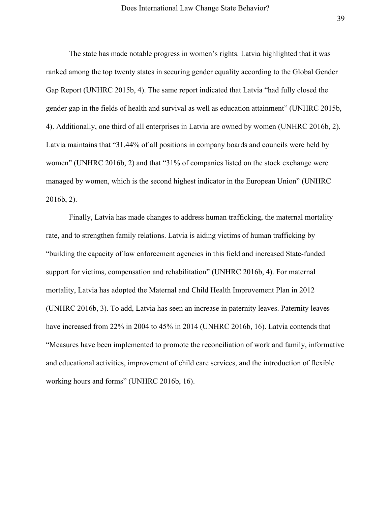The state has made notable progress in women's rights. Latvia highlighted that it was ranked among the top twenty states in securing gender equality according to the Global Gender Gap Report (UNHRC 2015b, 4). The same report indicated that Latvia "had fully closed the gender gap in the fields of health and survival as well as education attainment" (UNHRC 2015b, 4). Additionally, one third of all enterprises in Latvia are owned by women (UNHRC 2016b, 2). Latvia maintains that "31.44% of all positions in company boards and councils were held by women" (UNHRC 2016b, 2) and that "31% of companies listed on the stock exchange were managed by women, which is the second highest indicator in the European Union" (UNHRC 2016b, 2).

Finally, Latvia has made changes to address human trafficking, the maternal mortality rate, and to strengthen family relations. Latvia is aiding victims of human trafficking by "building the capacity of law enforcement agencies in this field and increased State-funded support for victims, compensation and rehabilitation" (UNHRC 2016b, 4). For maternal mortality, Latvia has adopted the Maternal and Child Health Improvement Plan in 2012 (UNHRC 2016b, 3). To add, Latvia has seen an increase in paternity leaves. Paternity leaves have increased from 22% in 2004 to 45% in 2014 (UNHRC 2016b, 16). Latvia contends that "Measures have been implemented to promote the reconciliation of work and family, informative and educational activities, improvement of child care services, and the introduction of flexible working hours and forms" (UNHRC 2016b, 16).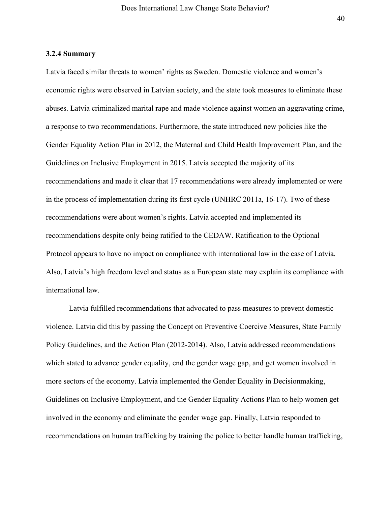#### **3.2.4 Summary**

Latvia faced similar threats to women' rights as Sweden. Domestic violence and women's economic rights were observed in Latvian society, and the state took measures to eliminate these abuses. Latvia criminalized marital rape and made violence against women an aggravating crime, a response to two recommendations. Furthermore, the state introduced new policies like the Gender Equality Action Plan in 2012, the Maternal and Child Health Improvement Plan, and the Guidelines on Inclusive Employment in 2015. Latvia accepted the majority of its recommendations and made it clear that 17 recommendations were already implemented or were in the process of implementation during its first cycle (UNHRC 2011a, 16-17). Two of these recommendations were about women's rights. Latvia accepted and implemented its recommendations despite only being ratified to the CEDAW. Ratification to the Optional Protocol appears to have no impact on compliance with international law in the case of Latvia. Also, Latvia's high freedom level and status as a European state may explain its compliance with international law.

Latvia fulfilled recommendations that advocated to pass measures to prevent domestic violence. Latvia did this by passing the Concept on Preventive Coercive Measures, State Family Policy Guidelines, and the Action Plan (2012-2014). Also, Latvia addressed recommendations which stated to advance gender equality, end the gender wage gap, and get women involved in more sectors of the economy. Latvia implemented the Gender Equality in Decisionmaking, Guidelines on Inclusive Employment, and the Gender Equality Actions Plan to help women get involved in the economy and eliminate the gender wage gap. Finally, Latvia responded to recommendations on human trafficking by training the police to better handle human trafficking,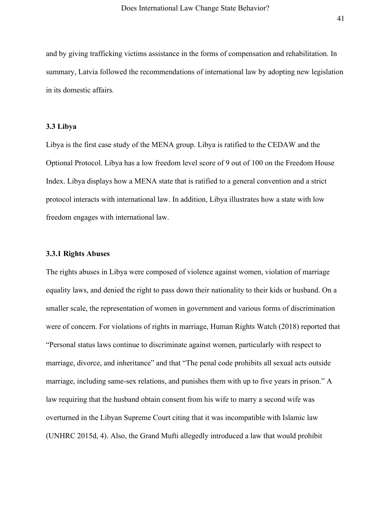and by giving trafficking victims assistance in the forms of compensation and rehabilitation. In summary, Latvia followed the recommendations of international law by adopting new legislation in its domestic affairs.

### **3.3 Libya**

Libya is the first case study of the MENA group. Libya is ratified to the CEDAW and the Optional Protocol. Libya has a low freedom level score of 9 out of 100 on the Freedom House Index. Libya displays how a MENA state that is ratified to a general convention and a strict protocol interacts with international law. In addition, Libya illustrates how a state with low freedom engages with international law.

#### **3.3.1 Rights Abuses**

The rights abuses in Libya were composed of violence against women, violation of marriage equality laws, and denied the right to pass down their nationality to their kids or husband. On a smaller scale, the representation of women in government and various forms of discrimination were of concern. For violations of rights in marriage, Human Rights Watch (2018) reported that "Personal status laws continue to discriminate against women, particularly with respect to marriage, divorce, and inheritance" and that "The penal code prohibits all sexual acts outside marriage, including same-sex relations, and punishes them with up to five years in prison." A law requiring that the husband obtain consent from his wife to marry a second wife was overturned in the Libyan Supreme Court citing that it was incompatible with Islamic law (UNHRC 2015d, 4). Also, the Grand Mufti allegedly introduced a law that would prohibit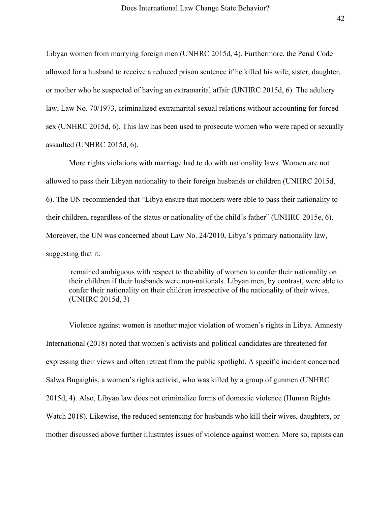Libyan women from marrying foreign men (UNHRC 2015d, 4). Furthermore, the Penal Code allowed for a husband to receive a reduced prison sentence if he killed his wife, sister, daughter, or mother who he suspected of having an extramarital affair (UNHRC 2015d, 6). The adultery law, Law No. 70/1973, criminalized extramarital sexual relations without accounting for forced sex (UNHRC 2015d, 6). This law has been used to prosecute women who were raped or sexually assaulted (UNHRC 2015d, 6).

More rights violations with marriage had to do with nationality laws. Women are not allowed to pass their Libyan nationality to their foreign husbands or children (UNHRC 2015d, 6). The UN recommended that "Libya ensure that mothers were able to pass their nationality to their children, regardless of the status or nationality of the child's father" (UNHRC 2015e, 6). Moreover, the UN was concerned about Law No. 24/2010, Libya's primary nationality law, suggesting that it:

remained ambiguous with respect to the ability of women to confer their nationality on their children if their husbands were non-nationals. Libyan men, by contrast, were able to confer their nationality on their children irrespective of the nationality of their wives. (UNHRC 2015d, 3)

Violence against women is another major violation of women's rights in Libya. Amnesty International (2018) noted that women's activists and political candidates are threatened for expressing their views and often retreat from the public spotlight. A specific incident concerned Salwa Bugaighis, a women's rights activist, who was killed by a group of gunmen (UNHRC 2015d, 4). Also, Libyan law does not criminalize forms of domestic violence (Human Rights Watch 2018). Likewise, the reduced sentencing for husbands who kill their wives, daughters, or mother discussed above further illustrates issues of violence against women. More so, rapists can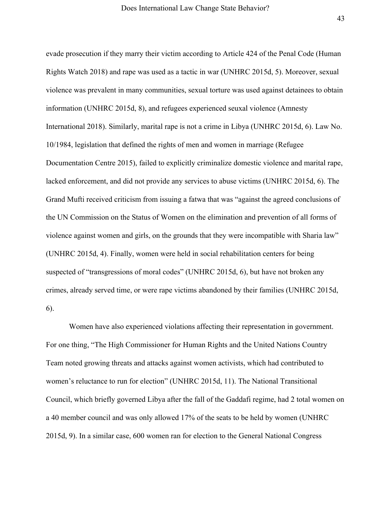evade prosecution if they marry their victim according to Article 424 of the Penal Code (Human Rights Watch 2018) and rape was used as a tactic in war (UNHRC 2015d, 5). Moreover, sexual violence was prevalent in many communities, sexual torture was used against detainees to obtain information (UNHRC 2015d, 8), and refugees experienced seuxal violence (Amnesty International 2018). Similarly, marital rape is not a crime in Libya (UNHRC 2015d, 6). Law No. 10/1984, legislation that defined the rights of men and women in marriage (Refugee Documentation Centre 2015), failed to explicitly criminalize domestic violence and marital rape, lacked enforcement, and did not provide any services to abuse victims (UNHRC 2015d, 6). The Grand Mufti received criticism from issuing a fatwa that was "against the agreed conclusions of the UN Commission on the Status of Women on the elimination and prevention of all forms of violence against women and girls, on the grounds that they were incompatible with Sharia law" (UNHRC 2015d, 4). Finally, women were held in social rehabilitation centers for being suspected of "transgressions of moral codes" (UNHRC 2015d, 6), but have not broken any crimes, already served time, or were rape victims abandoned by their families (UNHRC 2015d, 6).

Women have also experienced violations affecting their representation in government. For one thing, "The High Commissioner for Human Rights and the United Nations Country Team noted growing threats and attacks against women activists, which had contributed to women's reluctance to run for election" (UNHRC 2015d, 11). The National Transitional Council, which briefly governed Libya after the fall of the Gaddafi regime, had 2 total women on a 40 member council and was only allowed 17% of the seats to be held by women (UNHRC 2015d, 9). In a similar case, 600 women ran for election to the General National Congress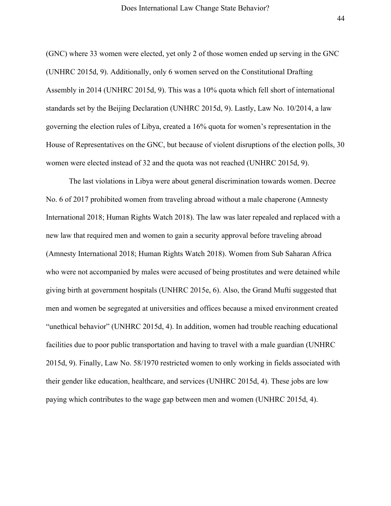(GNC) where 33 women were elected, yet only 2 of those women ended up serving in the GNC (UNHRC 2015d, 9). Additionally, only 6 women served on the Constitutional Drafting Assembly in 2014 (UNHRC 2015d, 9). This was a 10% quota which fell short of international standards set by the Beijing Declaration (UNHRC 2015d, 9). Lastly, Law No. 10/2014, a law governing the election rules of Libya, created a 16% quota for women's representation in the House of Representatives on the GNC, but because of violent disruptions of the election polls, 30 women were elected instead of 32 and the quota was not reached (UNHRC 2015d, 9).

The last violations in Libya were about general discrimination towards women. Decree No. 6 of 2017 prohibited women from traveling abroad without a male chaperone (Amnesty International 2018; Human Rights Watch 2018). The law was later repealed and replaced with a new law that required men and women to gain a security approval before traveling abroad (Amnesty International 2018; Human Rights Watch 2018). Women from Sub Saharan Africa who were not accompanied by males were accused of being prostitutes and were detained while giving birth at government hospitals (UNHRC 2015e, 6). Also, the Grand Mufti suggested that men and women be segregated at universities and offices because a mixed environment created "unethical behavior" (UNHRC 2015d, 4). In addition, women had trouble reaching educational facilities due to poor public transportation and having to travel with a male guardian (UNHRC 2015d, 9). Finally, Law No. 58/1970 restricted women to only working in fields associated with their gender like education, healthcare, and services (UNHRC 2015d, 4). These jobs are low paying which contributes to the wage gap between men and women (UNHRC 2015d, 4).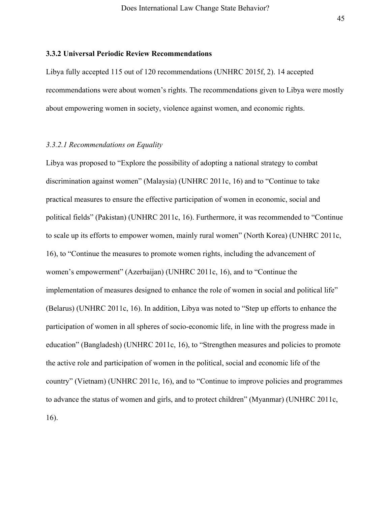#### **3.3.2 Universal Periodic Review Recommendations**

Libya fully accepted 115 out of 120 recommendations (UNHRC 2015f, 2). 14 accepted recommendations were about women's rights. The recommendations given to Libya were mostly about empowering women in society, violence against women, and economic rights.

# *3.3.2.1 Recommendations on Equality*

Libya was proposed to "Explore the possibility of adopting a national strategy to combat discrimination against women" (Malaysia) (UNHRC 2011c, 16) and to "Continue to take practical measures to ensure the effective participation of women in economic, social and political fields" (Pakistan) (UNHRC 2011c, 16). Furthermore, it was recommended to "Continue to scale up its efforts to empower women, mainly rural women" (North Korea) (UNHRC 2011c, 16), to "Continue the measures to promote women rights, including the advancement of women's empowerment" (Azerbaijan) (UNHRC 2011c, 16), and to "Continue the implementation of measures designed to enhance the role of women in social and political life" (Belarus) (UNHRC 2011c, 16). In addition, Libya was noted to "Step up efforts to enhance the participation of women in all spheres of socio-economic life, in line with the progress made in education" (Bangladesh) (UNHRC 2011c, 16), to "Strengthen measures and policies to promote the active role and participation of women in the political, social and economic life of the country" (Vietnam) (UNHRC 2011c, 16), and to "Continue to improve policies and programmes to advance the status of women and girls, and to protect children" (Myanmar) (UNHRC 2011c, 16).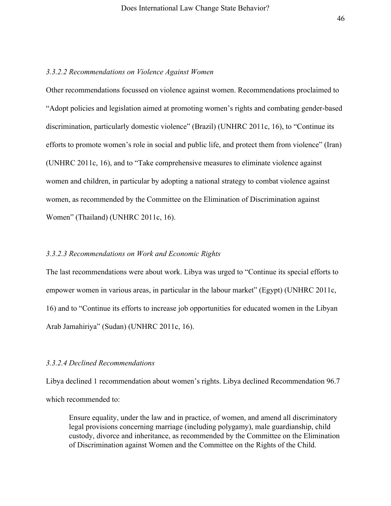#### *3.3.2.2 Recommendations on Violence Against Women*

Other recommendations focussed on violence against women. Recommendations proclaimed to "Adopt policies and legislation aimed at promoting women's rights and combating gender-based discrimination, particularly domestic violence" (Brazil) (UNHRC 2011c, 16), to "Continue its efforts to promote women's role in social and public life, and protect them from violence" (Iran) (UNHRC 2011c, 16), and to "Take comprehensive measures to eliminate violence against women and children, in particular by adopting a national strategy to combat violence against women, as recommended by the Committee on the Elimination of Discrimination against Women" (Thailand) (UNHRC 2011c, 16).

### *3.3.2.3 Recommendations on Work and Economic Rights*

The last recommendations were about work. Libya was urged to "Continue its special efforts to empower women in various areas, in particular in the labour market" (Egypt) (UNHRC 2011c, 16) and to "Continue its efforts to increase job opportunities for educated women in the Libyan Arab Jamahiriya" (Sudan) (UNHRC 2011c, 16).

#### *3.3.2.4 Declined Recommendations*

Libya declined 1 recommendation about women's rights. Libya declined Recommendation 96.7 which recommended to:

Ensure equality, under the law and in practice, of women, and amend all discriminatory legal provisions concerning marriage (including polygamy), male guardianship, child custody, divorce and inheritance, as recommended by the Committee on the Elimination of Discrimination against Women and the Committee on the Rights of the Child.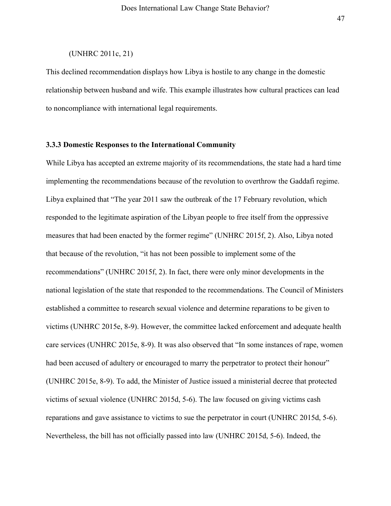# (UNHRC 2011c, 21)

This declined recommendation displays how Libya is hostile to any change in the domestic relationship between husband and wife. This example illustrates how cultural practices can lead to noncompliance with international legal requirements.

# **3.3.3 Domestic Responses to the International Community**

While Libya has accepted an extreme majority of its recommendations, the state had a hard time implementing the recommendations because of the revolution to overthrow the Gaddafi regime. Libya explained that "The year 2011 saw the outbreak of the 17 February revolution, which responded to the legitimate aspiration of the Libyan people to free itself from the oppressive measures that had been enacted by the former regime" (UNHRC 2015f, 2). Also, Libya noted that because of the revolution, "it has not been possible to implement some of the recommendations" (UNHRC 2015f, 2). In fact, there were only minor developments in the national legislation of the state that responded to the recommendations. The Council of Ministers established a committee to research sexual violence and determine reparations to be given to victims (UNHRC 2015e, 8-9). However, the committee lacked enforcement and adequate health care services (UNHRC 2015e, 8-9). It was also observed that "In some instances of rape, women had been accused of adultery or encouraged to marry the perpetrator to protect their honour" (UNHRC 2015e, 8-9). To add, the Minister of Justice issued a ministerial decree that protected victims of sexual violence (UNHRC 2015d, 5-6). The law focused on giving victims cash reparations and gave assistance to victims to sue the perpetrator in court (UNHRC 2015d, 5-6). Nevertheless, the bill has not officially passed into law (UNHRC 2015d, 5-6). Indeed, the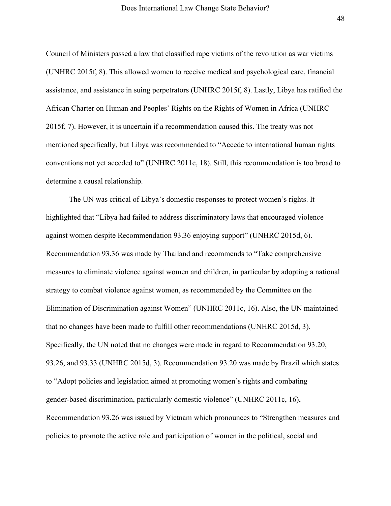Council of Ministers passed a law that classified rape victims of the revolution as war victims (UNHRC 2015f, 8). This allowed women to receive medical and psychological care, financial assistance, and assistance in suing perpetrators (UNHRC 2015f, 8). Lastly, Libya has ratified the African Charter on Human and Peoples' Rights on the Rights of Women in Africa (UNHRC 2015f, 7). However, it is uncertain if a recommendation caused this. The treaty was not mentioned specifically, but Libya was recommended to "Accede to international human rights conventions not yet acceded to" (UNHRC 2011c, 18). Still, this recommendation is too broad to determine a causal relationship.

The UN was critical of Libya's domestic responses to protect women's rights. It highlighted that "Libya had failed to address discriminatory laws that encouraged violence against women despite Recommendation 93.36 enjoying support" (UNHRC 2015d, 6). Recommendation 93.36 was made by Thailand and recommends to "Take comprehensive measures to eliminate violence against women and children, in particular by adopting a national strategy to combat violence against women, as recommended by the Committee on the Elimination of Discrimination against Women" (UNHRC 2011c, 16). Also, the UN maintained that no changes have been made to fulfill other recommendations (UNHRC 2015d, 3). Specifically, the UN noted that no changes were made in regard to Recommendation 93.20, 93.26, and 93.33 (UNHRC 2015d, 3). Recommendation 93.20 was made by Brazil which states to "Adopt policies and legislation aimed at promoting women's rights and combating gender-based discrimination, particularly domestic violence" (UNHRC 2011c, 16), Recommendation 93.26 was issued by Vietnam which pronounces to "Strengthen measures and policies to promote the active role and participation of women in the political, social and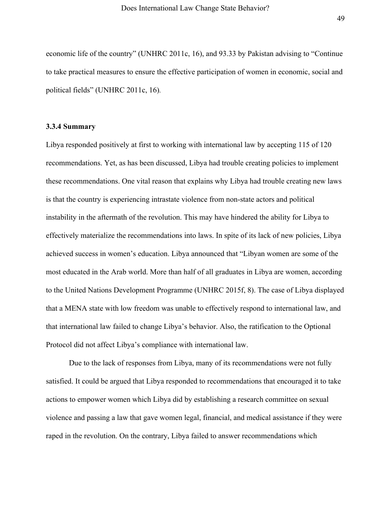economic life of the country" (UNHRC 2011c, 16), and 93.33 by Pakistan advising to "Continue to take practical measures to ensure the effective participation of women in economic, social and political fields" (UNHRC 2011c, 16)*.*

#### **3.3.4 Summary**

Libya responded positively at first to working with international law by accepting 115 of 120 recommendations. Yet, as has been discussed, Libya had trouble creating policies to implement these recommendations. One vital reason that explains why Libya had trouble creating new laws is that the country is experiencing intrastate violence from non-state actors and political instability in the aftermath of the revolution. This may have hindered the ability for Libya to effectively materialize the recommendations into laws. In spite of its lack of new policies, Libya achieved success in women's education. Libya announced that "Libyan women are some of the most educated in the Arab world. More than half of all graduates in Libya are women, according to the United Nations Development Programme (UNHRC 2015f, 8). The case of Libya displayed that a MENA state with low freedom was unable to effectively respond to international law, and that international law failed to change Libya's behavior. Also, the ratification to the Optional Protocol did not affect Libya's compliance with international law.

Due to the lack of responses from Libya, many of its recommendations were not fully satisfied. It could be argued that Libya responded to recommendations that encouraged it to take actions to empower women which Libya did by establishing a research committee on sexual violence and passing a law that gave women legal, financial, and medical assistance if they were raped in the revolution. On the contrary, Libya failed to answer recommendations which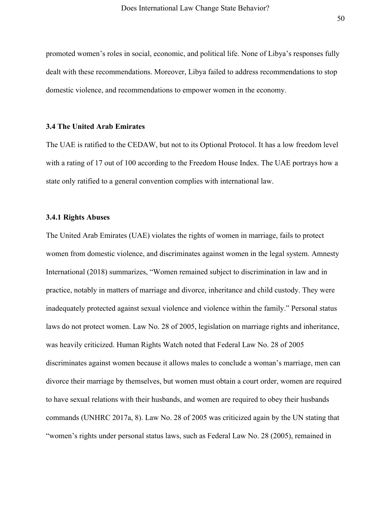promoted women's roles in social, economic, and political life. None of Libya's responses fully dealt with these recommendations. Moreover, Libya failed to address recommendations to stop domestic violence, and recommendations to empower women in the economy.

# **3.4 The United Arab Emirates**

The UAE is ratified to the CEDAW, but not to its Optional Protocol. It has a low freedom level with a rating of 17 out of 100 according to the Freedom House Index. The UAE portrays how a state only ratified to a general convention complies with international law.

# **3.4.1 Rights Abuses**

The United Arab Emirates (UAE) violates the rights of women in marriage, fails to protect women from domestic violence, and discriminates against women in the legal system. Amnesty International (2018) summarizes, "Women remained subject to discrimination in law and in practice, notably in matters of marriage and divorce, inheritance and child custody. They were inadequately protected against sexual violence and violence within the family." Personal status laws do not protect women. Law No. 28 of 2005, legislation on marriage rights and inheritance, was heavily criticized. Human Rights Watch noted that Federal Law No. 28 of 2005 discriminates against women because it allows males to conclude a woman's marriage, men can divorce their marriage by themselves, but women must obtain a court order, women are required to have sexual relations with their husbands, and women are required to obey their husbands commands (UNHRC 2017a, 8). Law No. 28 of 2005 was criticized again by the UN stating that "women's rights under personal status laws, such as Federal Law No. 28 (2005), remained in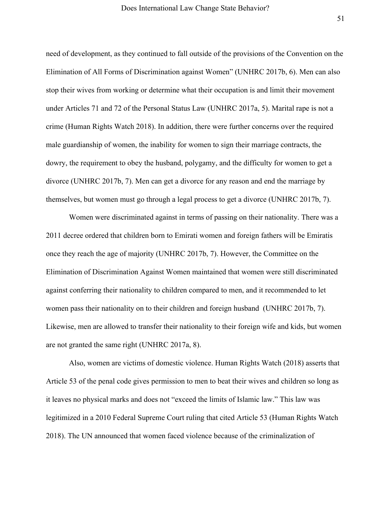need of development, as they continued to fall outside of the provisions of the Convention on the Elimination of All Forms of Discrimination against Women" (UNHRC 2017b, 6). Men can also stop their wives from working or determine what their occupation is and limit their movement under Articles 71 and 72 of the Personal Status Law (UNHRC 2017a, 5). Marital rape is not a crime (Human Rights Watch 2018). In addition, there were further concerns over the required male guardianship of women, the inability for women to sign their marriage contracts, the dowry, the requirement to obey the husband, polygamy, and the difficulty for women to get a divorce (UNHRC 2017b, 7). Men can get a divorce for any reason and end the marriage by themselves, but women must go through a legal process to get a divorce (UNHRC 2017b, 7).

Women were discriminated against in terms of passing on their nationality. There was a 2011 decree ordered that children born to Emirati women and foreign fathers will be Emiratis once they reach the age of majority (UNHRC 2017b, 7). However, the Committee on the Elimination of Discrimination Against Women maintained that women were still discriminated against conferring their nationality to children compared to men, and it recommended to let women pass their nationality on to their children and foreign husband (UNHRC 2017b, 7). Likewise, men are allowed to transfer their nationality to their foreign wife and kids, but women are not granted the same right (UNHRC 2017a, 8).

Also, women are victims of domestic violence. Human Rights Watch (2018) asserts that Article 53 of the penal code gives permission to men to beat their wives and children so long as it leaves no physical marks and does not "exceed the limits of Islamic law." This law was legitimized in a 2010 Federal Supreme Court ruling that cited Article 53 (Human Rights Watch 2018). The UN announced that women faced violence because of the criminalization of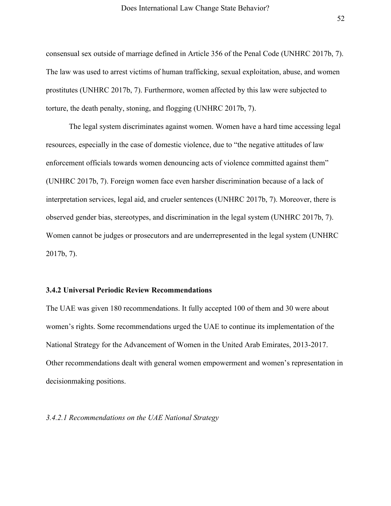consensual sex outside of marriage defined in Article 356 of the Penal Code (UNHRC 2017b, 7). The law was used to arrest victims of human trafficking, sexual exploitation, abuse, and women prostitutes (UNHRC 2017b, 7). Furthermore, women affected by this law were subjected to torture, the death penalty, stoning, and flogging (UNHRC 2017b, 7).

The legal system discriminates against women. Women have a hard time accessing legal resources, especially in the case of domestic violence, due to "the negative attitudes of law enforcement officials towards women denouncing acts of violence committed against them" (UNHRC 2017b, 7). Foreign women face even harsher discrimination because of a lack of interpretation services, legal aid, and crueler sentences (UNHRC 2017b, 7). Moreover, there is observed gender bias, stereotypes, and discrimination in the legal system (UNHRC 2017b, 7). Women cannot be judges or prosecutors and are underrepresented in the legal system (UNHRC 2017b, 7).

### **3.4.2 Universal Periodic Review Recommendations**

The UAE was given 180 recommendations. It fully accepted 100 of them and 30 were about women's rights. Some recommendations urged the UAE to continue its implementation of the National Strategy for the Advancement of Women in the United Arab Emirates, 2013-2017. Other recommendations dealt with general women empowerment and women's representation in decisionmaking positions.

# *3.4.2.1 Recommendations on the UAE National Strategy*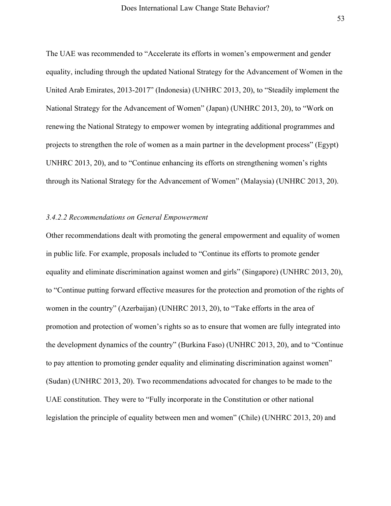The UAE was recommended to "Accelerate its efforts in women's empowerment and gender equality, including through the updated National Strategy for the Advancement of Women in the United Arab Emirates, 2013-2017" (Indonesia) (UNHRC 2013, 20), to "Steadily implement the National Strategy for the Advancement of Women" (Japan) (UNHRC 2013, 20), to "Work on renewing the National Strategy to empower women by integrating additional programmes and projects to strengthen the role of women as a main partner in the development process" (Egypt) UNHRC 2013, 20), and to "Continue enhancing its efforts on strengthening women's rights through its National Strategy for the Advancement of Women" (Malaysia) (UNHRC 2013, 20).

# *3.4.2.2 Recommendations on General Empowerment*

Other recommendations dealt with promoting the general empowerment and equality of women in public life. For example, proposals included to "Continue its efforts to promote gender equality and eliminate discrimination against women and girls" (Singapore) (UNHRC 2013, 20), to "Continue putting forward effective measures for the protection and promotion of the rights of women in the country" (Azerbaijan) (UNHRC 2013, 20), to "Take efforts in the area of promotion and protection of women's rights so as to ensure that women are fully integrated into the development dynamics of the country" (Burkina Faso) (UNHRC 2013, 20), and to "Continue to pay attention to promoting gender equality and eliminating discrimination against women" (Sudan) (UNHRC 2013, 20). Two recommendations advocated for changes to be made to the UAE constitution. They were to "Fully incorporate in the Constitution or other national legislation the principle of equality between men and women" (Chile) (UNHRC 2013, 20) and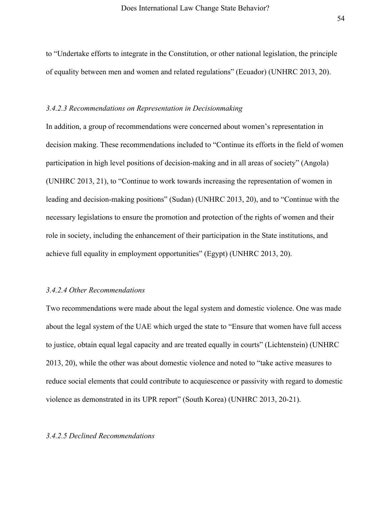to "Undertake efforts to integrate in the Constitution, or other national legislation, the principle of equality between men and women and related regulations" (Ecuador) (UNHRC 2013, 20).

#### *3.4.2.3 Recommendations on Representation in Decisionmaking*

In addition, a group of recommendations were concerned about women's representation in decision making. These recommendations included to "Continue its efforts in the field of women participation in high level positions of decision-making and in all areas of society" (Angola) (UNHRC 2013, 21), to "Continue to work towards increasing the representation of women in leading and decision-making positions" (Sudan) (UNHRC 2013, 20), and to "Continue with the necessary legislations to ensure the promotion and protection of the rights of women and their role in society, including the enhancement of their participation in the State institutions, and achieve full equality in employment opportunities" (Egypt) (UNHRC 2013, 20).

### *3.4.2.4 Other Recommendations*

Two recommendations were made about the legal system and domestic violence. One was made about the legal system of the UAE which urged the state to "Ensure that women have full access to justice, obtain equal legal capacity and are treated equally in courts" (Lichtenstein) (UNHRC 2013, 20), while the other was about domestic violence and noted to "take active measures to reduce social elements that could contribute to acquiescence or passivity with regard to domestic violence as demonstrated in its UPR report" (South Korea) (UNHRC 2013, 20-21).

# *3.4.2.5 Declined Recommendations*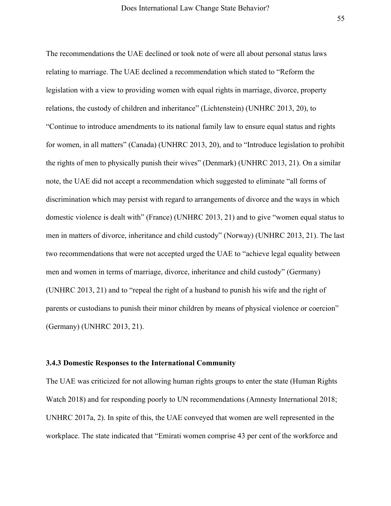The recommendations the UAE declined or took note of were all about personal status laws relating to marriage. The UAE declined a recommendation which stated to "Reform the legislation with a view to providing women with equal rights in marriage, divorce, property relations, the custody of children and inheritance" (Lichtenstein) (UNHRC 2013, 20), to "Continue to introduce amendments to its national family law to ensure equal status and rights for women, in all matters" (Canada) (UNHRC 2013, 20), and to "Introduce legislation to prohibit the rights of men to physically punish their wives" (Denmark) (UNHRC 2013, 21). On a similar note, the UAE did not accept a recommendation which suggested to eliminate "all forms of discrimination which may persist with regard to arrangements of divorce and the ways in which domestic violence is dealt with" (France) (UNHRC 2013, 21) and to give "women equal status to men in matters of divorce, inheritance and child custody" (Norway) (UNHRC 2013, 21). The last two recommendations that were not accepted urged the UAE to "achieve legal equality between men and women in terms of marriage, divorce, inheritance and child custody" (Germany) (UNHRC 2013, 21) and to "repeal the right of a husband to punish his wife and the right of parents or custodians to punish their minor children by means of physical violence or coercion" (Germany) (UNHRC 2013, 21).

### **3.4.3 Domestic Responses to the International Community**

The UAE was criticized for not allowing human rights groups to enter the state (Human Rights Watch 2018) and for responding poorly to UN recommendations (Amnesty International 2018; UNHRC 2017a, 2). In spite of this, the UAE conveyed that women are well represented in the workplace. The state indicated that "Emirati women comprise 43 per cent of the workforce and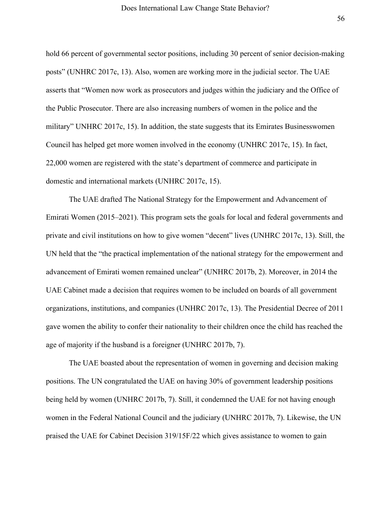hold 66 percent of governmental sector positions, including 30 percent of senior decision-making posts" (UNHRC 2017c, 13). Also, women are working more in the judicial sector. The UAE asserts that "Women now work as prosecutors and judges within the judiciary and the Office of the Public Prosecutor. There are also increasing numbers of women in the police and the military" UNHRC 2017c, 15). In addition, the state suggests that its Emirates Businesswomen Council has helped get more women involved in the economy (UNHRC 2017c, 15). In fact, 22,000 women are registered with the state's department of commerce and participate in domestic and international markets (UNHRC 2017c, 15).

The UAE drafted The National Strategy for the Empowerment and Advancement of Emirati Women (2015–2021). This program sets the goals for local and federal governments and private and civil institutions on how to give women "decent" lives (UNHRC 2017c, 13). Still, the UN held that the "the practical implementation of the national strategy for the empowerment and advancement of Emirati women remained unclear" (UNHRC 2017b, 2). Moreover, in 2014 the UAE Cabinet made a decision that requires women to be included on boards of all government organizations, institutions, and companies (UNHRC 2017c, 13). The Presidential Decree of 2011 gave women the ability to confer their nationality to their children once the child has reached the age of majority if the husband is a foreigner (UNHRC 2017b, 7).

The UAE boasted about the representation of women in governing and decision making positions. The UN congratulated the UAE on having 30% of government leadership positions being held by women (UNHRC 2017b, 7). Still, it condemned the UAE for not having enough women in the Federal National Council and the judiciary (UNHRC 2017b, 7). Likewise, the UN praised the UAE for Cabinet Decision 319/15F/22 which gives assistance to women to gain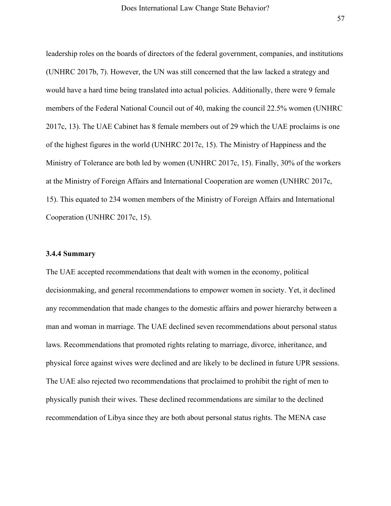leadership roles on the boards of directors of the federal government, companies, and institutions (UNHRC 2017b, 7). However, the UN was still concerned that the law lacked a strategy and would have a hard time being translated into actual policies. Additionally, there were 9 female members of the Federal National Council out of 40, making the council 22.5% women (UNHRC 2017c, 13). The UAE Cabinet has 8 female members out of 29 which the UAE proclaims is one of the highest figures in the world (UNHRC 2017c, 15). The Ministry of Happiness and the Ministry of Tolerance are both led by women (UNHRC 2017c, 15). Finally, 30% of the workers at the Ministry of Foreign Affairs and International Cooperation are women (UNHRC 2017c, 15). This equated to 234 women members of the Ministry of Foreign Affairs and International Cooperation (UNHRC 2017c, 15).

### **3.4.4 Summary**

The UAE accepted recommendations that dealt with women in the economy, political decisionmaking, and general recommendations to empower women in society. Yet, it declined any recommendation that made changes to the domestic affairs and power hierarchy between a man and woman in marriage. The UAE declined seven recommendations about personal status laws. Recommendations that promoted rights relating to marriage, divorce, inheritance, and physical force against wives were declined and are likely to be declined in future UPR sessions. The UAE also rejected two recommendations that proclaimed to prohibit the right of men to physically punish their wives. These declined recommendations are similar to the declined recommendation of Libya since they are both about personal status rights. The MENA case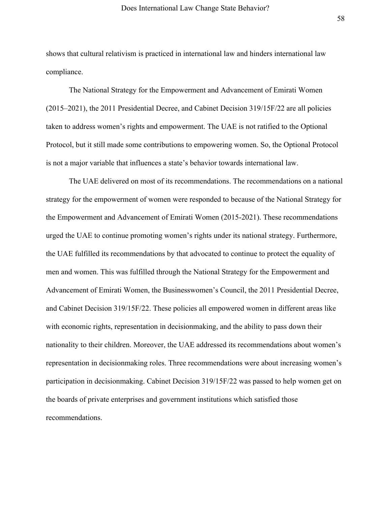shows that cultural relativism is practiced in international law and hinders international law compliance.

The National Strategy for the Empowerment and Advancement of Emirati Women (2015–2021), the 2011 Presidential Decree, and Cabinet Decision 319/15F/22 are all policies taken to address women's rights and empowerment. The UAE is not ratified to the Optional Protocol, but it still made some contributions to empowering women. So, the Optional Protocol is not a major variable that influences a state's behavior towards international law.

The UAE delivered on most of its recommendations. The recommendations on a national strategy for the empowerment of women were responded to because of the National Strategy for the Empowerment and Advancement of Emirati Women (2015-2021). These recommendations urged the UAE to continue promoting women's rights under its national strategy. Furthermore, the UAE fulfilled its recommendations by that advocated to continue to protect the equality of men and women. This was fulfilled through the National Strategy for the Empowerment and Advancement of Emirati Women, the Businesswomen's Council, the 2011 Presidential Decree, and Cabinet Decision 319/15F/22. These policies all empowered women in different areas like with economic rights, representation in decisionmaking, and the ability to pass down their nationality to their children. Moreover, the UAE addressed its recommendations about women's representation in decisionmaking roles. Three recommendations were about increasing women's participation in decisionmaking. Cabinet Decision 319/15F/22 was passed to help women get on the boards of private enterprises and government institutions which satisfied those recommendations.

58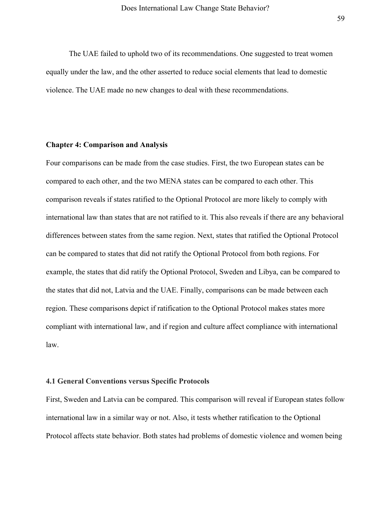The UAE failed to uphold two of its recommendations. One suggested to treat women equally under the law, and the other asserted to reduce social elements that lead to domestic violence. The UAE made no new changes to deal with these recommendations.

#### **Chapter 4: Comparison and Analysis**

Four comparisons can be made from the case studies. First, the two European states can be compared to each other, and the two MENA states can be compared to each other. This comparison reveals if states ratified to the Optional Protocol are more likely to comply with international law than states that are not ratified to it. This also reveals if there are any behavioral differences between states from the same region. Next, states that ratified the Optional Protocol can be compared to states that did not ratify the Optional Protocol from both regions. For example, the states that did ratify the Optional Protocol, Sweden and Libya, can be compared to the states that did not, Latvia and the UAE. Finally, comparisons can be made between each region. These comparisons depict if ratification to the Optional Protocol makes states more compliant with international law, and if region and culture affect compliance with international law.

#### **4.1 General Conventions versus Specific Protocols**

First, Sweden and Latvia can be compared. This comparison will reveal if European states follow international law in a similar way or not. Also, it tests whether ratification to the Optional Protocol affects state behavior. Both states had problems of domestic violence and women being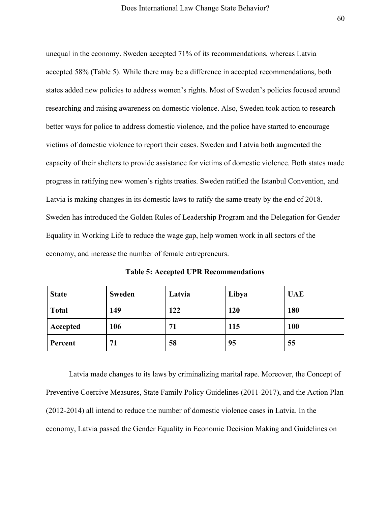unequal in the economy. Sweden accepted 71% of its recommendations, whereas Latvia accepted 58% (Table 5). While there may be a difference in accepted recommendations, both states added new policies to address women's rights. Most of Sweden's policies focused around researching and raising awareness on domestic violence. Also, Sweden took action to research better ways for police to address domestic violence, and the police have started to encourage victims of domestic violence to report their cases. Sweden and Latvia both augmented the capacity of their shelters to provide assistance for victims of domestic violence. Both states made progress in ratifying new women's rights treaties. Sweden ratified the Istanbul Convention, and Latvia is making changes in its domestic laws to ratify the same treaty by the end of 2018. Sweden has introduced the Golden Rules of Leadership Program and the Delegation for Gender Equality in Working Life to reduce the wage gap, help women work in all sectors of the economy, and increase the number of female entrepreneurs.

**Table 5: Accepted UPR Recommendations**

| <b>State</b> | <b>Sweden</b> | Latvia | Libya      | <b>UAE</b> |
|--------------|---------------|--------|------------|------------|
| <b>Total</b> | 149           | 122    | <b>120</b> | 180        |
| Accepted     | 106           | 71     | 115        | <b>100</b> |
| Percent      | 71            | 58     | 95         | 55         |

Latvia made changes to its laws by criminalizing marital rape. Moreover, the Concept of Preventive Coercive Measures, State Family Policy Guidelines (2011-2017), and the Action Plan (2012-2014) all intend to reduce the number of domestic violence cases in Latvia. In the economy, Latvia passed the Gender Equality in Economic Decision Making and Guidelines on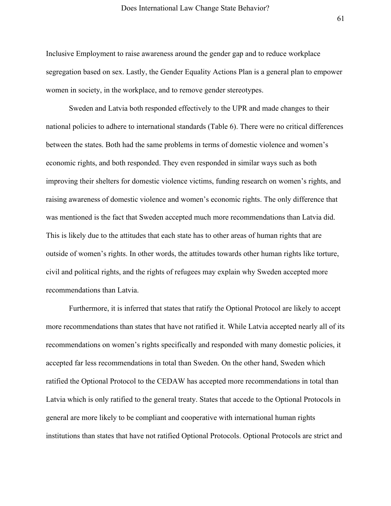Inclusive Employment to raise awareness around the gender gap and to reduce workplace segregation based on sex. Lastly, the Gender Equality Actions Plan is a general plan to empower women in society, in the workplace, and to remove gender stereotypes.

Sweden and Latvia both responded effectively to the UPR and made changes to their national policies to adhere to international standards (Table 6). There were no critical differences between the states. Both had the same problems in terms of domestic violence and women's economic rights, and both responded. They even responded in similar ways such as both improving their shelters for domestic violence victims, funding research on women's rights, and raising awareness of domestic violence and women's economic rights. The only difference that was mentioned is the fact that Sweden accepted much more recommendations than Latvia did. This is likely due to the attitudes that each state has to other areas of human rights that are outside of women's rights. In other words, the attitudes towards other human rights like torture, civil and political rights, and the rights of refugees may explain why Sweden accepted more recommendations than Latvia.

Furthermore, it is inferred that states that ratify the Optional Protocol are likely to accept more recommendations than states that have not ratified it. While Latvia accepted nearly all of its recommendations on women's rights specifically and responded with many domestic policies, it accepted far less recommendations in total than Sweden. On the other hand, Sweden which ratified the Optional Protocol to the CEDAW has accepted more recommendations in total than Latvia which is only ratified to the general treaty. States that accede to the Optional Protocols in general are more likely to be compliant and cooperative with international human rights institutions than states that have not ratified Optional Protocols. Optional Protocols are strict and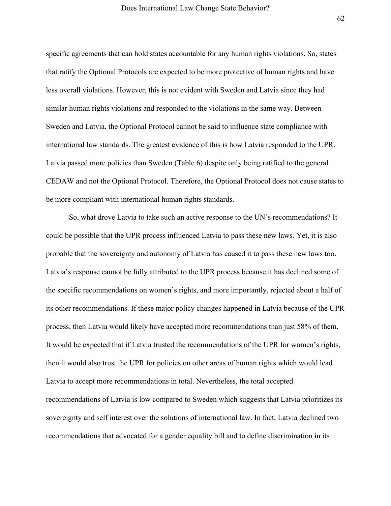specific agreements that can hold states accountable for any human rights violations. So, states that ratify the Optional Protocols are expected to be more protective of human rights and have less overall violations. However, this is not evident with Sweden and Latvia since they had similar human rights violations and responded to the violations in the same way. Between Sweden and Latvia, the Optional Protocol cannot be said to influence state compliance with international law standards. The greatest evidence of this is how Latvia responded to the UPR. Latvia passed more policies than Sweden (Table 6) despite only being ratified to the general CEDAW and not the Optional Protocol. Therefore, the Optional Protocol does not cause states to be more compliant with international human rights standards.

So, what drove Latvia to take such an active response to the UN's recommendations? It could be possible that the UPR process influenced Latvia to pass these new laws. Yet, it is also probable that the sovereignty and autonomy of Latvia has caused it to pass these new laws too. Latvia's response cannot be fully attributed to the UPR process because it has declined some of the specific recommendations on women's rights, and more importantly, rejected about a half of its other recommendations. If these major policy changes happened in Latvia because of the UPR process, then Latvia would likely have accepted more recommendations than just 58% of them. It would be expected that if Latvia trusted the recommendations of the UPR for women's rights, then it would also trust the UPR for policies on other areas of human rights which would lead Latvia to accept more recommendations in total. Nevertheless, the total accepted recommendations of Latvia is low compared to Sweden which suggests that Latvia prioritizes its sovereignty and self interest over the solutions of international law. In fact, Latvia declined two recommendations that advocated for a gender equality bill and to define discrimination in its

62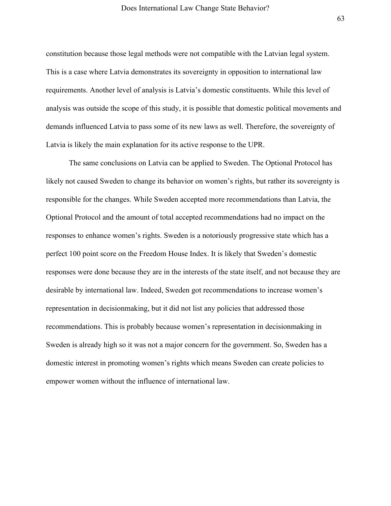constitution because those legal methods were not compatible with the Latvian legal system. This is a case where Latvia demonstrates its sovereignty in opposition to international law requirements. Another level of analysis is Latvia's domestic constituents. While this level of analysis was outside the scope of this study, it is possible that domestic political movements and demands influenced Latvia to pass some of its new laws as well. Therefore, the sovereignty of Latvia is likely the main explanation for its active response to the UPR.

The same conclusions on Latvia can be applied to Sweden. The Optional Protocol has likely not caused Sweden to change its behavior on women's rights, but rather its sovereignty is responsible for the changes. While Sweden accepted more recommendations than Latvia, the Optional Protocol and the amount of total accepted recommendations had no impact on the responses to enhance women's rights. Sweden is a notoriously progressive state which has a perfect 100 point score on the Freedom House Index. It is likely that Sweden's domestic responses were done because they are in the interests of the state itself, and not because they are desirable by international law. Indeed, Sweden got recommendations to increase women's representation in decisionmaking, but it did not list any policies that addressed those recommendations. This is probably because women's representation in decisionmaking in Sweden is already high so it was not a major concern for the government. So, Sweden has a domestic interest in promoting women's rights which means Sweden can create policies to empower women without the influence of international law.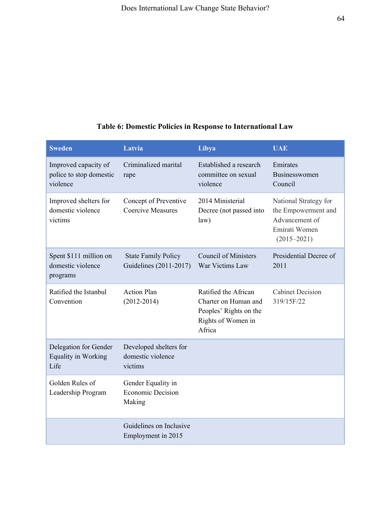# **Table 6: Domestic Policies in Response to International Law**

| <b>Sweden</b>                                               | Latvia                                                   | Libya                                                                                                  | <b>UAE</b>                                                                                         |
|-------------------------------------------------------------|----------------------------------------------------------|--------------------------------------------------------------------------------------------------------|----------------------------------------------------------------------------------------------------|
| Improved capacity of<br>police to stop domestic<br>violence | Criminalized marital<br>rape                             | Established a research<br>committee on sexual<br>violence                                              | Emirates<br><b>Businesswomen</b><br>Council                                                        |
| Improved shelters for<br>domestic violence<br>victims       | Concept of Preventive<br><b>Coercive Measures</b>        | 2014 Ministerial<br>Decree (not passed into<br>law)                                                    | National Strategy for<br>the Empowerment and<br>Advancement of<br>Emirati Women<br>$(2015 - 2021)$ |
| Spent \$111 million on<br>domestic violence<br>programs     | <b>State Family Policy</b><br>Guidelines (2011-2017)     | <b>Council of Ministers</b><br>War Victims Law                                                         | Presidential Decree of<br>2011                                                                     |
| Ratified the Istanbul<br>Convention                         | <b>Action Plan</b><br>$(2012 - 2014)$                    | Ratified the African<br>Charter on Human and<br>Peoples' Rights on the<br>Rights of Women in<br>Africa | <b>Cabinet Decision</b><br>319/15F/22                                                              |
| Delegation for Gender<br><b>Equality in Working</b><br>Life | Developed shelters for<br>domestic violence<br>victims   |                                                                                                        |                                                                                                    |
| Golden Rules of<br>Leadership Program                       | Gender Equality in<br><b>Economic Decision</b><br>Making |                                                                                                        |                                                                                                    |
|                                                             | Guidelines on Inclusive<br>Employment in 2015            |                                                                                                        |                                                                                                    |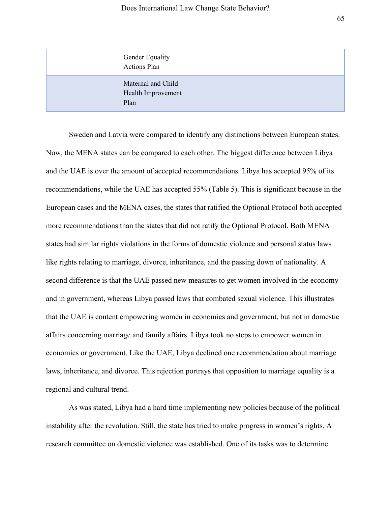| <b>Gender Equality</b><br><b>Actions Plan</b>    |  |
|--------------------------------------------------|--|
| Maternal and Child<br>Health Improvement<br>Plan |  |

Sweden and Latvia were compared to identify any distinctions between European states. Now, the MENA states can be compared to each other. The biggest difference between Libya and the UAE is over the amount of accepted recommendations. Libya has accepted 95% of its recommendations, while the UAE has accepted 55% (Table 5). This is significant because in the European cases and the MENA cases, the states that ratified the Optional Protocol both accepted more recommendations than the states that did not ratify the Optional Protocol. Both MENA states had similar rights violations in the forms of domestic violence and personal status laws like rights relating to marriage, divorce, inheritance, and the passing down of nationality. A second difference is that the UAE passed new measures to get women involved in the economy and in government, whereas Libya passed laws that combated sexual violence. This illustrates that the UAE is content empowering women in economics and government, but not in domestic affairs concerning marriage and family affairs. Libya took no steps to empower women in economics or government. Like the UAE, Libya declined one recommendation about marriage laws, inheritance, and divorce. This rejection portrays that opposition to marriage equality is a regional and cultural trend.

As was stated, Libya had a hard time implementing new policies because of the political instability after the revolution. Still, the state has tried to make progress in women's rights. A research committee on domestic violence was established. One of its tasks was to determine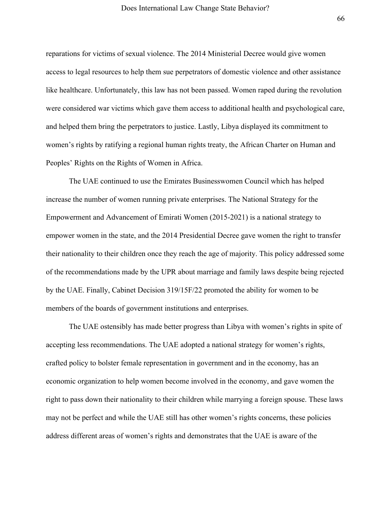reparations for victims of sexual violence. The 2014 Ministerial Decree would give women access to legal resources to help them sue perpetrators of domestic violence and other assistance like healthcare. Unfortunately, this law has not been passed. Women raped during the revolution were considered war victims which gave them access to additional health and psychological care, and helped them bring the perpetrators to justice. Lastly, Libya displayed its commitment to women's rights by ratifying a regional human rights treaty, the African Charter on Human and Peoples' Rights on the Rights of Women in Africa.

The UAE continued to use the Emirates Businesswomen Council which has helped increase the number of women running private enterprises. The National Strategy for the Empowerment and Advancement of Emirati Women (2015-2021) is a national strategy to empower women in the state, and the 2014 Presidential Decree gave women the right to transfer their nationality to their children once they reach the age of majority. This policy addressed some of the recommendations made by the UPR about marriage and family laws despite being rejected by the UAE. Finally, Cabinet Decision 319/15F/22 promoted the ability for women to be members of the boards of government institutions and enterprises.

The UAE ostensibly has made better progress than Libya with women's rights in spite of accepting less recommendations. The UAE adopted a national strategy for women's rights, crafted policy to bolster female representation in government and in the economy, has an economic organization to help women become involved in the economy, and gave women the right to pass down their nationality to their children while marrying a foreign spouse. These laws may not be perfect and while the UAE still has other women's rights concerns, these policies address different areas of women's rights and demonstrates that the UAE is aware of the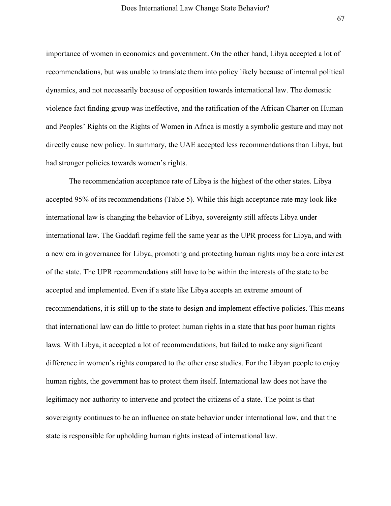importance of women in economics and government. On the other hand, Libya accepted a lot of recommendations, but was unable to translate them into policy likely because of internal political dynamics, and not necessarily because of opposition towards international law. The domestic violence fact finding group was ineffective, and the ratification of the African Charter on Human and Peoples' Rights on the Rights of Women in Africa is mostly a symbolic gesture and may not directly cause new policy. In summary, the UAE accepted less recommendations than Libya, but had stronger policies towards women's rights.

The recommendation acceptance rate of Libya is the highest of the other states. Libya accepted 95% of its recommendations (Table 5). While this high acceptance rate may look like international law is changing the behavior of Libya, sovereignty still affects Libya under international law. The Gaddafi regime fell the same year as the UPR process for Libya, and with a new era in governance for Libya, promoting and protecting human rights may be a core interest of the state. The UPR recommendations still have to be within the interests of the state to be accepted and implemented. Even if a state like Libya accepts an extreme amount of recommendations, it is still up to the state to design and implement effective policies. This means that international law can do little to protect human rights in a state that has poor human rights laws. With Libya, it accepted a lot of recommendations, but failed to make any significant difference in women's rights compared to the other case studies. For the Libyan people to enjoy human rights, the government has to protect them itself. International law does not have the legitimacy nor authority to intervene and protect the citizens of a state. The point is that sovereignty continues to be an influence on state behavior under international law, and that the state is responsible for upholding human rights instead of international law.

67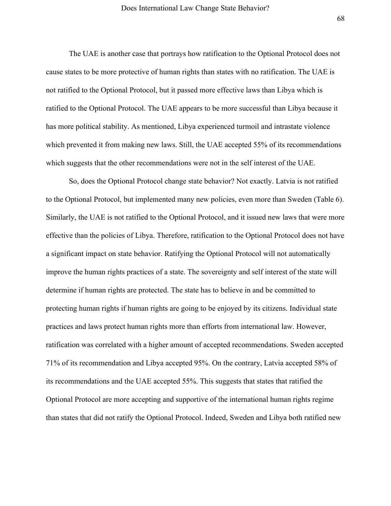The UAE is another case that portrays how ratification to the Optional Protocol does not cause states to be more protective of human rights than states with no ratification. The UAE is not ratified to the Optional Protocol, but it passed more effective laws than Libya which is ratified to the Optional Protocol. The UAE appears to be more successful than Libya because it has more political stability. As mentioned, Libya experienced turmoil and intrastate violence which prevented it from making new laws. Still, the UAE accepted 55% of its recommendations which suggests that the other recommendations were not in the self interest of the UAE.

So, does the Optional Protocol change state behavior? Not exactly. Latvia is not ratified to the Optional Protocol, but implemented many new policies, even more than Sweden (Table 6). Similarly, the UAE is not ratified to the Optional Protocol, and it issued new laws that were more effective than the policies of Libya. Therefore, ratification to the Optional Protocol does not have a significant impact on state behavior. Ratifying the Optional Protocol will not automatically improve the human rights practices of a state. The sovereignty and self interest of the state will determine if human rights are protected. The state has to believe in and be committed to protecting human rights if human rights are going to be enjoyed by its citizens. Individual state practices and laws protect human rights more than efforts from international law. However, ratification was correlated with a higher amount of accepted recommendations. Sweden accepted 71% of its recommendation and Libya accepted 95%. On the contrary, Latvia accepted 58% of its recommendations and the UAE accepted 55%. This suggests that states that ratified the Optional Protocol are more accepting and supportive of the international human rights regime than states that did not ratify the Optional Protocol. Indeed, Sweden and Libya both ratified new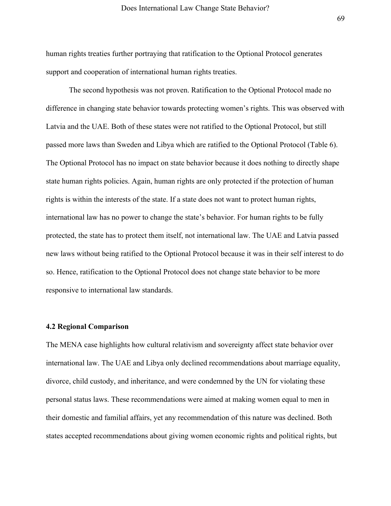human rights treaties further portraying that ratification to the Optional Protocol generates support and cooperation of international human rights treaties.

The second hypothesis was not proven. Ratification to the Optional Protocol made no difference in changing state behavior towards protecting women's rights. This was observed with Latvia and the UAE. Both of these states were not ratified to the Optional Protocol, but still passed more laws than Sweden and Libya which are ratified to the Optional Protocol (Table 6). The Optional Protocol has no impact on state behavior because it does nothing to directly shape state human rights policies. Again, human rights are only protected if the protection of human rights is within the interests of the state. If a state does not want to protect human rights, international law has no power to change the state's behavior. For human rights to be fully protected, the state has to protect them itself, not international law. The UAE and Latvia passed new laws without being ratified to the Optional Protocol because it was in their self interest to do so. Hence, ratification to the Optional Protocol does not change state behavior to be more responsive to international law standards.

# **4.2 Regional Comparison**

The MENA case highlights how cultural relativism and sovereignty affect state behavior over international law. The UAE and Libya only declined recommendations about marriage equality, divorce, child custody, and inheritance, and were condemned by the UN for violating these personal status laws. These recommendations were aimed at making women equal to men in their domestic and familial affairs, yet any recommendation of this nature was declined. Both states accepted recommendations about giving women economic rights and political rights, but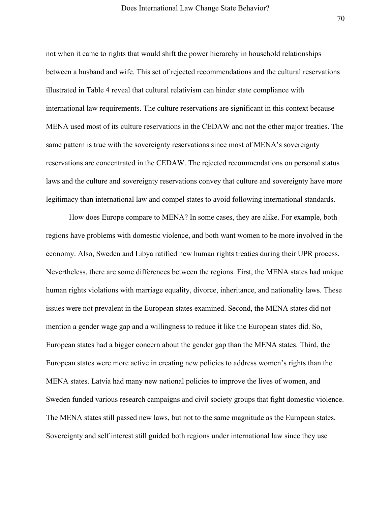not when it came to rights that would shift the power hierarchy in household relationships between a husband and wife. This set of rejected recommendations and the cultural reservations illustrated in Table 4 reveal that cultural relativism can hinder state compliance with international law requirements. The culture reservations are significant in this context because MENA used most of its culture reservations in the CEDAW and not the other major treaties. The same pattern is true with the sovereignty reservations since most of MENA's sovereignty reservations are concentrated in the CEDAW. The rejected recommendations on personal status laws and the culture and sovereignty reservations convey that culture and sovereignty have more legitimacy than international law and compel states to avoid following international standards.

How does Europe compare to MENA? In some cases, they are alike. For example, both regions have problems with domestic violence, and both want women to be more involved in the economy. Also, Sweden and Libya ratified new human rights treaties during their UPR process. Nevertheless, there are some differences between the regions. First, the MENA states had unique human rights violations with marriage equality, divorce, inheritance, and nationality laws. These issues were not prevalent in the European states examined. Second, the MENA states did not mention a gender wage gap and a willingness to reduce it like the European states did. So, European states had a bigger concern about the gender gap than the MENA states. Third, the European states were more active in creating new policies to address women's rights than the MENA states. Latvia had many new national policies to improve the lives of women, and Sweden funded various research campaigns and civil society groups that fight domestic violence. The MENA states still passed new laws, but not to the same magnitude as the European states. Sovereignty and self interest still guided both regions under international law since they use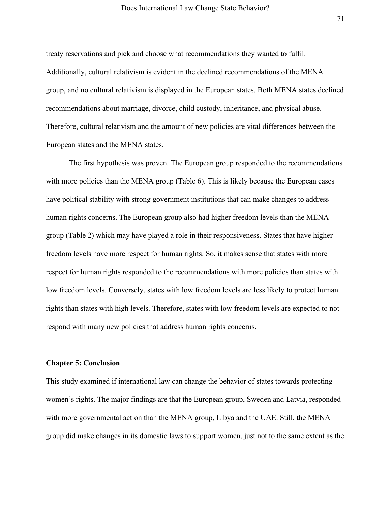treaty reservations and pick and choose what recommendations they wanted to fulfil. Additionally, cultural relativism is evident in the declined recommendations of the MENA group, and no cultural relativism is displayed in the European states. Both MENA states declined recommendations about marriage, divorce, child custody, inheritance, and physical abuse. Therefore, cultural relativism and the amount of new policies are vital differences between the European states and the MENA states.

The first hypothesis was proven. The European group responded to the recommendations with more policies than the MENA group (Table 6). This is likely because the European cases have political stability with strong government institutions that can make changes to address human rights concerns. The European group also had higher freedom levels than the MENA group (Table 2) which may have played a role in their responsiveness. States that have higher freedom levels have more respect for human rights. So, it makes sense that states with more respect for human rights responded to the recommendations with more policies than states with low freedom levels. Conversely, states with low freedom levels are less likely to protect human rights than states with high levels. Therefore, states with low freedom levels are expected to not respond with many new policies that address human rights concerns.

#### **Chapter 5: Conclusion**

This study examined if international law can change the behavior of states towards protecting women's rights. The major findings are that the European group, Sweden and Latvia, responded with more governmental action than the MENA group, Libya and the UAE. Still, the MENA group did make changes in its domestic laws to support women, just not to the same extent as the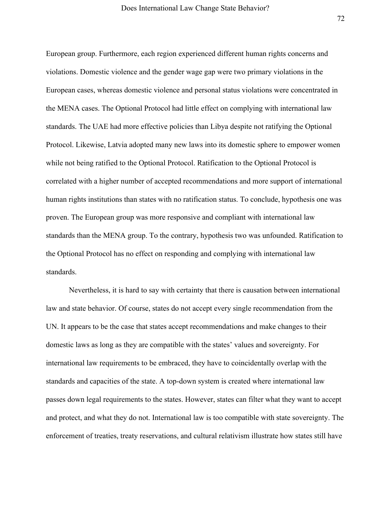European group. Furthermore, each region experienced different human rights concerns and violations. Domestic violence and the gender wage gap were two primary violations in the European cases, whereas domestic violence and personal status violations were concentrated in the MENA cases. The Optional Protocol had little effect on complying with international law standards. The UAE had more effective policies than Libya despite not ratifying the Optional Protocol. Likewise, Latvia adopted many new laws into its domestic sphere to empower women while not being ratified to the Optional Protocol. Ratification to the Optional Protocol is correlated with a higher number of accepted recommendations and more support of international human rights institutions than states with no ratification status. To conclude, hypothesis one was proven. The European group was more responsive and compliant with international law standards than the MENA group. To the contrary, hypothesis two was unfounded. Ratification to the Optional Protocol has no effect on responding and complying with international law standards.

Nevertheless, it is hard to say with certainty that there is causation between international law and state behavior. Of course, states do not accept every single recommendation from the UN. It appears to be the case that states accept recommendations and make changes to their domestic laws as long as they are compatible with the states' values and sovereignty. For international law requirements to be embraced, they have to coincidentally overlap with the standards and capacities of the state. A top-down system is created where international law passes down legal requirements to the states. However, states can filter what they want to accept and protect, and what they do not. International law is too compatible with state sovereignty. The enforcement of treaties, treaty reservations, and cultural relativism illustrate how states still have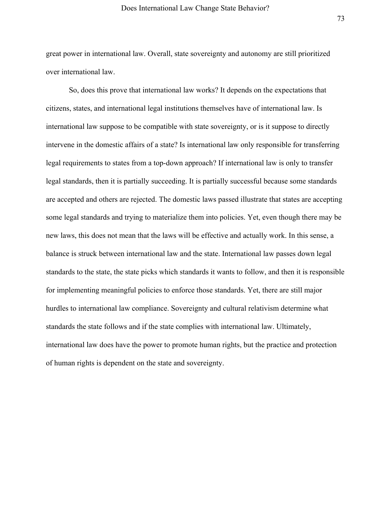great power in international law. Overall, state sovereignty and autonomy are still prioritized over international law.

So, does this prove that international law works? It depends on the expectations that citizens, states, and international legal institutions themselves have of international law. Is international law suppose to be compatible with state sovereignty, or is it suppose to directly intervene in the domestic affairs of a state? Is international law only responsible for transferring legal requirements to states from a top-down approach? If international law is only to transfer legal standards, then it is partially succeeding. It is partially successful because some standards are accepted and others are rejected. The domestic laws passed illustrate that states are accepting some legal standards and trying to materialize them into policies. Yet, even though there may be new laws, this does not mean that the laws will be effective and actually work. In this sense, a balance is struck between international law and the state. International law passes down legal standards to the state, the state picks which standards it wants to follow, and then it is responsible for implementing meaningful policies to enforce those standards. Yet, there are still major hurdles to international law compliance. Sovereignty and cultural relativism determine what standards the state follows and if the state complies with international law. Ultimately, international law does have the power to promote human rights, but the practice and protection of human rights is dependent on the state and sovereignty.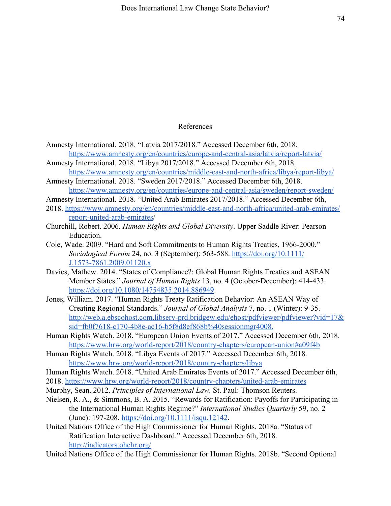## References

- Amnesty International. 2018. "Latvia 2017/2018." Accessed December 6th, 2018. <https://www.amnesty.org/en/countries/europe-and-central-asia/latvia/report-latvia/>
- Amnesty International. 2018. "Libya 2017/2018." Accessed December 6th, 2018. <https://www.amnesty.org/en/countries/middle-east-and-north-africa/libya/report-libya/>
- Amnesty International. 2018. "Sweden 2017/2018." Accessed December 6th, 2018. <https://www.amnesty.org/en/countries/europe-and-central-asia/sweden/report-sweden/>
- Amnesty International. 2018. "United Arab Emirates 2017/2018." Accessed December 6th,
- 2018. <https://www.amnesty.org/en/countries/middle-east-and-north-africa/united-arab-emirates/> [report-united-arab-emirates/](https://www.amnesty.org/en/countries/middle-east-and-north-africa/united-arab-emirates/)
- Churchill, Robert. 2006. *Human Rights and Global Diversity*. Upper Saddle River: Pearson Education.
- Cole, Wade. 2009. "Hard and Soft Commitments to Human Rights Treaties, 1966-2000." *Sociological Forum* 24, no. 3 (September): 563-588. [https://doi.org/10.1111/](https://doi.org/10.1111/J.1573-7861.2009.01120.x) [J.1573-7861.2009.01120.x](https://doi.org/10.1111/J.1573-7861.2009.01120.x)
- Davies, Mathew. 2014. "States of Compliance?: Global Human Rights Treaties and ASEAN Member States." *Journal of Human Rights* 13, no. 4 (October-December): 414-433. <https://doi.org/10.1080/14754835.2014.886949>.
- Jones, William. 2017. "Human Rights Treaty Ratification Behavior: An ASEAN Way of Creating Regional Standards." *Journal of Global Analysis* 7, no. 1 (Winter): 9-35. <http://web.a.ebscohost.com.libserv-prd.bridgew.edu/ehost/pdfviewer/pdfviewer?vid=17&> [sid=fb0f7618-c170-4b8e-ac16-b5f8d8ef868b%40sessionmgr4008.](http://web.a.ebscohost.com.libserv-prd.bridgew.edu/ehost/pdfviewer/pdfviewer?vid=17&)
- Human Rights Watch. 2018. "European Union Events of 2017." Accessed December 6th, 2018. <https://www.hrw.org/world-report/2018/country-chapters/european-union#a09f4b>
- Human Rights Watch. 2018. "Libya Events of 2017." Accessed December 6th, 2018. <https://www.hrw.org/world-report/2018/country-chapters/libya>

Human Rights Watch. 2018. "United Arab Emirates Events of 2017." Accessed December 6th, 2018. <https://www.hrw.org/world-report/2018/country-chapters/united-arab-emirates>

- Murphy, Sean. 2012. *Principles of International Law.* St. Paul: Thomson Reuters.
- Nielsen, R. A., & Simmons, B. A. 2015. "Rewards for Ratification: Payoffs for Participating in the International Human Rights Regime?" *International Studies Quarterly* 59, no. 2 (June): 197-208. [https://doi.org/10.1111/isqu.12142.](https://doi.org/10.1111/isqu.12142)
- United Nations Office of the High Commissioner for Human Rights. 2018a. "Status of Ratification Interactive Dashboard." Accessed December 6th, 2018. <http://indicators.ohchr.org/>

United Nations Office of the High Commissioner for Human Rights. 2018b. "Second Optional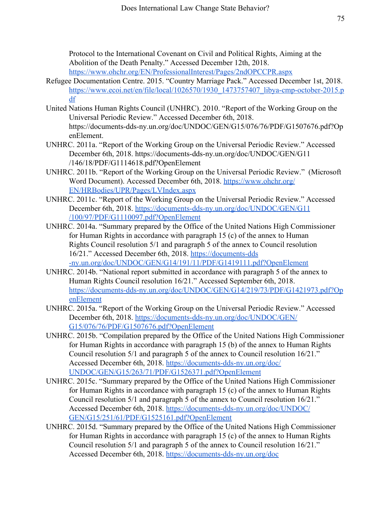Protocol to the International Covenant on Civil and Political Rights, Aiming at the Abolition of the Death Penalty." Accessed December 12th, 2018. <https://www.ohchr.org/EN/ProfessionalInterest/Pages/2ndOPCCPR.aspx>

- Refugee Documentation Centre. 2015. "Country Marriage Pack." Accessed December 1st, 2018. [https://www.ecoi.net/en/file/local/1026570/1930\\_1473757407\\_libya-cmp-october-2015.p](https://www.ecoi.net/en/file/local/1026570/1930_1473757407_libya-cmp-october-2015.pdf) [df](https://www.ecoi.net/en/file/local/1026570/1930_1473757407_libya-cmp-october-2015.pdf)
- United Nations Human Rights Council (UNHRC). 2010. "Report of the Working Group on the Universal Periodic Review." Accessed December 6th, 2018. https://documents-dds-ny.un.org/doc/UNDOC/GEN/G15/076/76/PDF/G1507676.pdf?Op enElement.
- UNHRC. 2011a. "Report of the Working Group on the Universal Periodic Review." Accessed December 6th, 2018. https://documents-dds-ny.un.org/doc/UNDOC/GEN/G11 /146/18/PDF/G1114618.pdf?OpenElement
- UNHRC. 2011b. "Report of the Working Group on the Universal Periodic Review." (Microsoft Word Document). Accessed December 6th, 2018. [https://www.ohchr.org/](https://www.ohchr.org/EN/HRBodies/UPR/Pages/LVIndex.aspx) [EN/HRBodies/UPR/Pages/LVIndex.aspx](https://www.ohchr.org/EN/HRBodies/UPR/Pages/LVIndex.aspx)
- UNHRC. 2011c. "Report of the Working Group on the Universal Periodic Review." Accessed December 6th, 2018. [https://documents-dds-ny.un.org/doc/UNDOC/GEN/G11](https://documents-dds-ny.un.org/doc/UNDOC/GEN/G11/100/97/PDF/G1110097.pdf?OpenElement) [/100/97/PDF/G1110097.pdf?OpenElement](https://documents-dds-ny.un.org/doc/UNDOC/GEN/G11/100/97/PDF/G1110097.pdf?OpenElement)
- UNHRC. 2014a. "Summary prepared by the Office of the United Nations High Commissioner for Human Rights in accordance with paragraph 15 (c) of the annex to Human Rights Council resolution 5/1 and paragraph 5 of the annex to Council resolution 16/21." Accessed December 6th, 2018. [https://documents-dds](https://documents-dds-ny.un.org/doc/UNDOC/GEN/G14/191/11/PDF/G1419111.pdf?OpenElement) [-ny.un.org/doc/UNDOC/GEN/G14/191/11/PDF/G1419111.pdf?OpenElement](https://documents-dds-ny.un.org/doc/UNDOC/GEN/G14/191/11/PDF/G1419111.pdf?OpenElement)
- UNHRC. 2014b. "National report submitted in accordance with paragraph 5 of the annex to Human Rights Council resolution 16/21." Accessed September 6th, 2018. [https://documents-dds-ny.un.org/doc/UNDOC/GEN/G14/219/73/PDF/G1421973.pdf?Op](https://documents-dds-ny.un.org/doc/UNDOC/GEN/G14/219/73/PDF/G1421973.pdf?OpenElement) [enElement](https://documents-dds-ny.un.org/doc/UNDOC/GEN/G14/219/73/PDF/G1421973.pdf?OpenElement)
- UNHRC. 2015a. "Report of the Working Group on the Universal Periodic Review." Accessed December 6th, 2018. [https://documents-dds-ny.un.org/doc/UNDOC/GEN/](https://documents-dds-ny.un.org/doc/UNDOC/GEN/G15/076/76/PDF/G1507676.pdf?OpenElement) [G15/076/76/PDF/G1507676.pdf?OpenElement](https://documents-dds-ny.un.org/doc/UNDOC/GEN/G15/076/76/PDF/G1507676.pdf?OpenElement)
- UNHRC. 2015b. "Compilation prepared by the Office of the United Nations High Commissioner for Human Rights in accordance with paragraph 15 (b) of the annex to Human Rights Council resolution 5/1 and paragraph 5 of the annex to Council resolution 16/21." Accessed December 6th, 2018. [https://documents-dds-ny.un.org/doc/](https://documents-dds-ny.un.org/doc/UNDOC/GEN/G15/263/71/PDF/G1526371.pdf?OpenElement) [UNDOC/GEN/G15/263/71/PDF/G1526371.pdf?OpenElement](https://documents-dds-ny.un.org/doc/UNDOC/GEN/G15/263/71/PDF/G1526371.pdf?OpenElement)
- UNHRC. 2015c. "Summary prepared by the Office of the United Nations High Commissioner for Human Rights in accordance with paragraph 15 (c) of the annex to Human Rights Council resolution 5/1 and paragraph 5 of the annex to Council resolution 16/21." Accessed December 6th, 2018. [https://documents-dds-ny.un.org/doc/UNDOC/](https://documents-dds-ny.un.org/doc/UNDOC/GEN/G15/251/61/PDF/G1525161.pdf?OpenElement) [GEN/G15/251/61/PDF/G1525161.pdf?OpenElement](https://documents-dds-ny.un.org/doc/UNDOC/GEN/G15/251/61/PDF/G1525161.pdf?OpenElement)
- UNHRC. 2015d. "Summary prepared by the Office of the United Nations High Commissioner for Human Rights in accordance with paragraph 15 (c) of the annex to Human Rights Council resolution 5/1 and paragraph 5 of the annex to Council resolution 16/21." Accessed December 6th, 2018. [https://documents-dds-ny.un.org/doc](https://documents-dds-ny.un.org/doc/UNDOC/GEN/G15/037/32/PDF/G1503732.pdf?OpenElement)